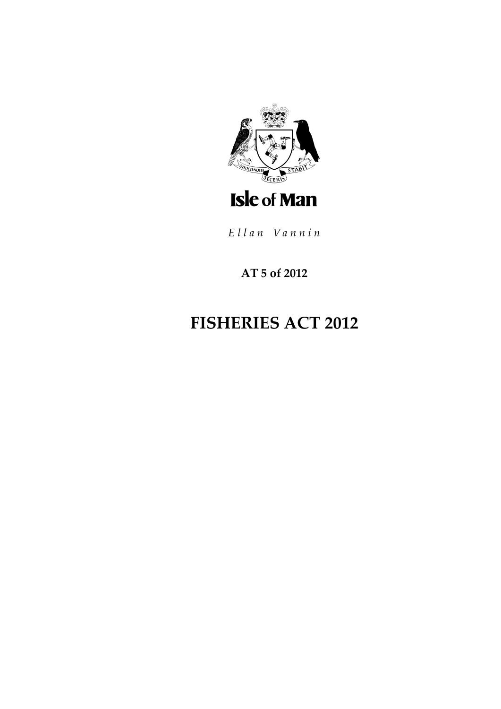

Ellan Vannin

# **AT 5 of 2012**

# **FISHERIES ACT 2012**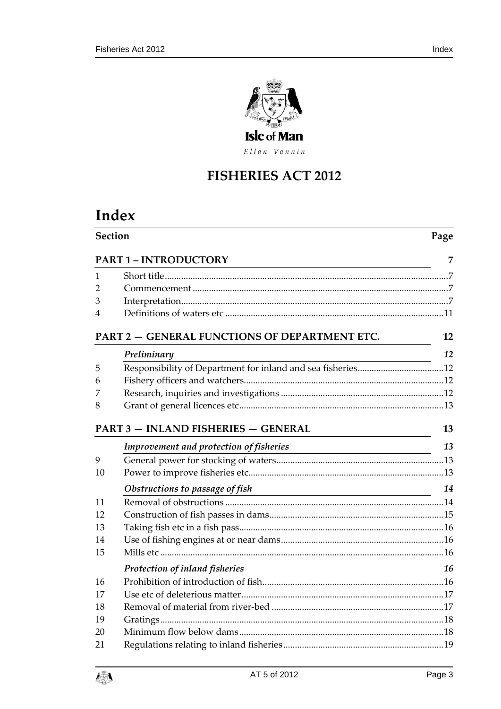

Ellan Vannin

# **FISHERIES ACT 2012**

# **Index**

| Section |                                               | Page |
|---------|-----------------------------------------------|------|
|         | <b>PART 1-INTRODUCTORY</b>                    | 7    |
| 1       |                                               |      |
| 2       |                                               |      |
| 3       |                                               |      |
| 4       |                                               |      |
|         | PART 2 - GENERAL FUNCTIONS OF DEPARTMENT ETC. | 12   |
|         | Preliminary                                   | 12   |
| 5       |                                               |      |
| 6       |                                               |      |
| 7       |                                               |      |
| 8       |                                               |      |
|         | <b>PART 3 - INLAND FISHERIES - GENERAL</b>    | 13   |
|         | Improvement and protection of fisheries       | 13   |
| 9       |                                               |      |
| 10      |                                               |      |
|         | Obstructions to passage of fish               | 14   |
| 11      |                                               |      |
| 12      |                                               |      |
| 13      |                                               |      |
| 14      |                                               |      |
| 15      |                                               |      |
|         | Protection of inland fisheries                | 16   |
| 16      |                                               |      |
| 17      |                                               |      |
| 18      |                                               |      |
| 19      |                                               |      |
| 20      |                                               |      |
| 21      |                                               |      |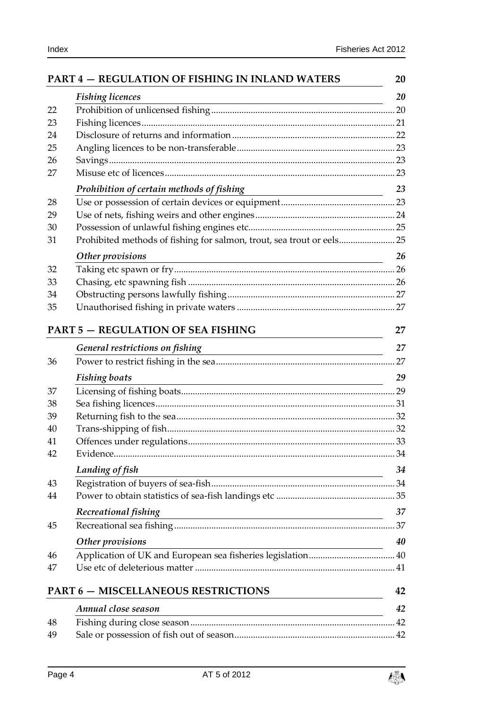|    | PART 4 - REGULATION OF FISHING IN INLAND WATERS                                                                                               | 20 |
|----|-----------------------------------------------------------------------------------------------------------------------------------------------|----|
|    | <b>Fishing licences</b>                                                                                                                       | 20 |
| 22 |                                                                                                                                               |    |
| 23 |                                                                                                                                               |    |
| 24 |                                                                                                                                               |    |
| 25 |                                                                                                                                               |    |
| 26 |                                                                                                                                               |    |
| 27 |                                                                                                                                               |    |
|    | Prohibition of certain methods of fishing                                                                                                     | 23 |
| 28 |                                                                                                                                               |    |
| 29 |                                                                                                                                               |    |
| 30 |                                                                                                                                               |    |
| 31 | Prohibited methods of fishing for salmon, trout, sea trout or eels 25                                                                         |    |
|    | Other provisions<br><u> 1989 - Johann Barn, mars ann an t-Amhain an t-Amhain ann an t-Amhain an t-Amhain an t-Amhain an t-Amhain an t-</u>    | 26 |
| 32 |                                                                                                                                               |    |
| 33 |                                                                                                                                               |    |
| 34 |                                                                                                                                               |    |
| 35 |                                                                                                                                               |    |
|    | <b>PART 5 - REGULATION OF SEA FISHING</b>                                                                                                     | 27 |
|    | General restrictions on fishing                                                                                                               | 27 |
| 36 |                                                                                                                                               |    |
|    | <b>Fishing boats</b><br><u> 1989 - Johann Stoff, amerikansk politiker (* 1908)</u>                                                            | 29 |
| 37 |                                                                                                                                               |    |
| 38 |                                                                                                                                               |    |
| 39 |                                                                                                                                               |    |
| 40 |                                                                                                                                               |    |
| 41 |                                                                                                                                               |    |
| 42 |                                                                                                                                               |    |
|    | Landing of fish<br><u> 1989 - Johann Stoff, deutscher Stoffen und der Stoffen und der Stoffen und der Stoffen und der Stoffen und der</u>     | 34 |
| 43 |                                                                                                                                               |    |
| 44 |                                                                                                                                               |    |
|    | Recreational fishing<br><u> 1989 - Johann Barn, mars ann an t-Amhain Aonaich an t-Aonaich an t-Aonaich an t-Aonaich an t-Aonaich an t-Aon</u> | 37 |
| 45 |                                                                                                                                               |    |
|    | Other provisions                                                                                                                              | 40 |
| 46 |                                                                                                                                               |    |
| 47 |                                                                                                                                               |    |
|    |                                                                                                                                               |    |
|    | <b>PART 6 - MISCELLANEOUS RESTRICTIONS</b>                                                                                                    | 42 |
|    | Annual close season                                                                                                                           | 42 |

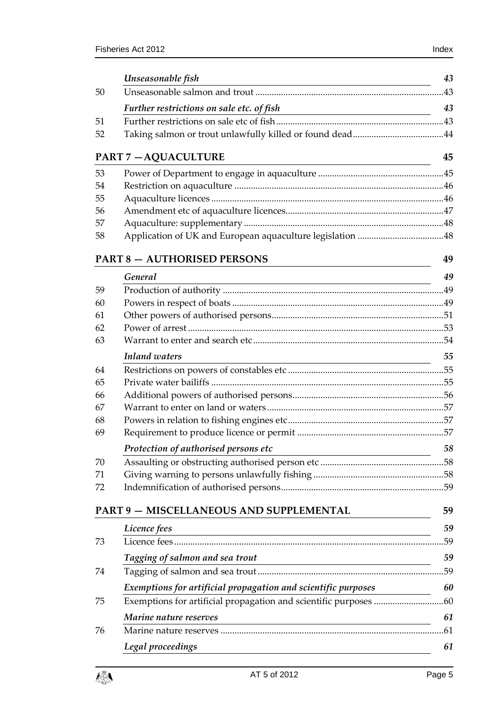|    | Unseasonable fish                                             | 43  |
|----|---------------------------------------------------------------|-----|
| 50 |                                                               |     |
|    | Further restrictions on sale etc. of fish                     | 43  |
| 51 |                                                               |     |
| 52 |                                                               |     |
|    | <b>PART 7-AQUACULTURE</b>                                     | 45  |
| 53 |                                                               |     |
| 54 |                                                               |     |
| 55 |                                                               |     |
| 56 |                                                               |     |
| 57 |                                                               |     |
| 58 |                                                               |     |
|    | <b>PART 8 - AUTHORISED PERSONS</b>                            | 49  |
|    | General                                                       | 49  |
| 59 |                                                               |     |
| 60 |                                                               |     |
| 61 |                                                               |     |
| 62 |                                                               |     |
| 63 |                                                               |     |
|    | <b>Inland</b> waters                                          | 55  |
| 64 |                                                               |     |
| 65 |                                                               |     |
| 66 |                                                               |     |
| 67 |                                                               |     |
| 68 |                                                               |     |
| 69 |                                                               |     |
|    | Protection of authorised persons etc                          | 58  |
| 70 |                                                               |     |
| 71 |                                                               |     |
| 72 |                                                               |     |
|    | <b>PART 9 - MISCELLANEOUS AND SUPPLEMENTAL</b>                | 59  |
|    | Licence fees                                                  | 59  |
| 73 |                                                               | .59 |
|    | Tagging of salmon and sea trout                               | 59  |
| 74 |                                                               | .59 |
|    | Exemptions for artificial propagation and scientific purposes | 60  |
| 75 |                                                               | .60 |
|    | Marine nature reserves                                        | 61  |
| 76 |                                                               | .61 |
|    | Legal proceedings                                             | 61  |

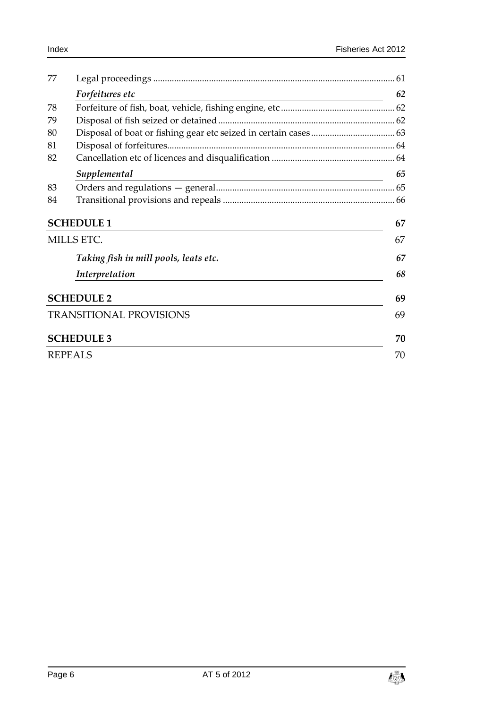| 77 |                                       |    |  |
|----|---------------------------------------|----|--|
|    | Forfeitures etc                       | 62 |  |
| 78 |                                       |    |  |
| 79 |                                       |    |  |
| 80 |                                       |    |  |
| 81 |                                       |    |  |
| 82 |                                       |    |  |
|    | Supplemental                          | 65 |  |
| 83 |                                       |    |  |
| 84 |                                       |    |  |
|    | <b>SCHEDULE 1</b>                     | 67 |  |
|    | <b>MILLS ETC.</b>                     | 67 |  |
|    | Taking fish in mill pools, leats etc. | 67 |  |
|    | Interpretation                        | 68 |  |
|    | <b>SCHEDULE 2</b>                     | 69 |  |
|    | <b>TRANSITIONAL PROVISIONS</b>        | 69 |  |
|    | <b>SCHEDULE 3</b>                     | 70 |  |
|    | <b>REPEALS</b>                        | 70 |  |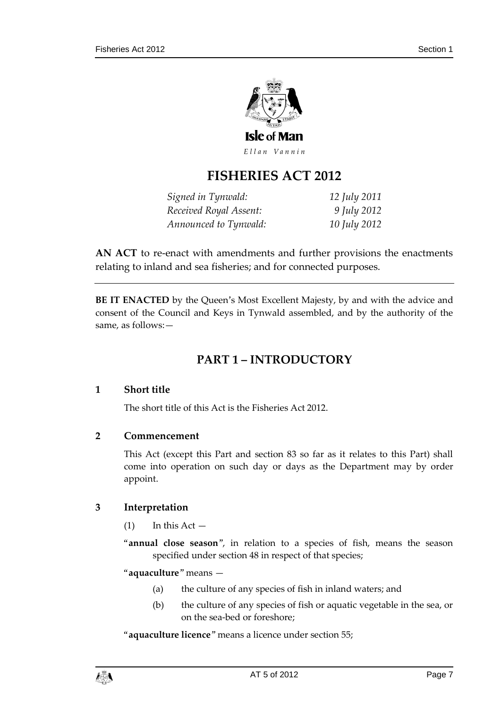

# **FISHERIES ACT 2012**

| Signed in Tynwald:     | 12 July 2011 |
|------------------------|--------------|
| Received Royal Assent: | 9 July 2012  |
| Announced to Tynwald:  | 10 July 2012 |

**AN ACT** to re-enact with amendments and further provisions the enactments relating to inland and sea fisheries; and for connected purposes.

<span id="page-6-0"></span>**BE IT ENACTED** by the Queen's Most Excellent Majesty, by and with the advice and consent of the Council and Keys in Tynwald assembled, and by the authority of the same, as follows:—

# **PART 1 – INTRODUCTORY**

# <span id="page-6-1"></span>**1 Short title**

The short title of this Act is the Fisheries Act 2012.

# <span id="page-6-2"></span>**2 Commencement**

This Act (except this Part and section 83 so far as it relates to this Part) shall come into operation on such day or days as the Department may by order appoint.

# <span id="page-6-3"></span>**3 Interpretation**

 $(1)$  In this Act —

"**annual close season**", in relation to a species of fish, means the season specified under section 48 in respect of that species;

"**aquaculture**" means —

- (a) the culture of any species of fish in inland waters; and
- (b) the culture of any species of fish or aquatic vegetable in the sea, or on the sea-bed or foreshore;

"**aquaculture licence**" means a licence under section 55;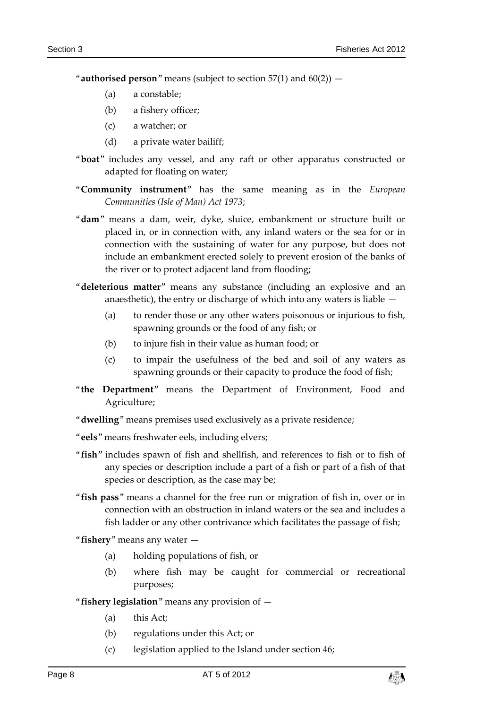"**authorised person**" means (subject to section  $57(1)$  and  $60(2)$ ) —

- (a) a constable;
- (b) a fishery officer;
- (c) a watcher; or
- (d) a private water bailiff;
- "**boat**" includes any vessel, and any raft or other apparatus constructed or adapted for floating on water;
- "**Community instrument**" has the same meaning as in the *European Communities (Isle of Man) Act 1973*;
- "**dam**" means a dam, weir, dyke, sluice, embankment or structure built or placed in, or in connection with, any inland waters or the sea for or in connection with the sustaining of water for any purpose, but does not include an embankment erected solely to prevent erosion of the banks of the river or to protect adjacent land from flooding;
- "**deleterious matter**" means any substance (including an explosive and an anaesthetic), the entry or discharge of which into any waters is liable —
	- (a) to render those or any other waters poisonous or injurious to fish, spawning grounds or the food of any fish; or
	- (b) to injure fish in their value as human food; or
	- (c) to impair the usefulness of the bed and soil of any waters as spawning grounds or their capacity to produce the food of fish;
- "**the Department**" means the Department of Environment, Food and Agriculture;
- "**dwelling**" means premises used exclusively as a private residence;
- "**eels**" means freshwater eels, including elvers;
- "**fish**" includes spawn of fish and shellfish, and references to fish or to fish of any species or description include a part of a fish or part of a fish of that species or description, as the case may be;
- "**fish pass**" means a channel for the free run or migration of fish in, over or in connection with an obstruction in inland waters or the sea and includes a fish ladder or any other contrivance which facilitates the passage of fish;

"**fishery**" means any water —

- (a) holding populations of fish, or
- (b) where fish may be caught for commercial or recreational purposes;
- "**fishery legislation**" means any provision of
	- (a) this Act;
	- (b) regulations under this Act; or
	- (c) legislation applied to the Island under section 46;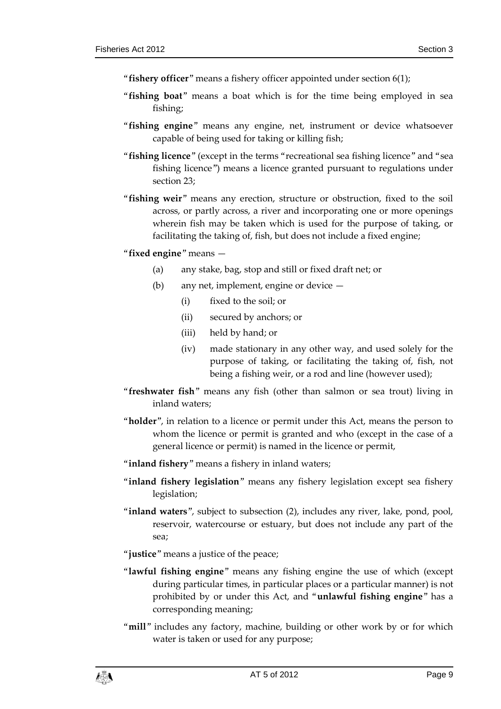- "**fishery officer**" means a fishery officer appointed under section 6(1);
- "**fishing boat**" means a boat which is for the time being employed in sea fishing;
- "**fishing engine**" means any engine, net, instrument or device whatsoever capable of being used for taking or killing fish;
- "**fishing licence**" (except in the terms "recreational sea fishing licence" and "sea fishing licence") means a licence granted pursuant to regulations under section 23;
- "**fishing weir**" means any erection, structure or obstruction, fixed to the soil across, or partly across, a river and incorporating one or more openings wherein fish may be taken which is used for the purpose of taking, or facilitating the taking of, fish, but does not include a fixed engine;
- "**fixed engine**" means
	- (a) any stake, bag, stop and still or fixed draft net; or
	- (b) any net, implement, engine or device
		- (i) fixed to the soil; or
		- (ii) secured by anchors; or
		- (iii) held by hand; or
		- (iv) made stationary in any other way, and used solely for the purpose of taking, or facilitating the taking of, fish, not being a fishing weir, or a rod and line (however used);
- "**freshwater fish**" means any fish (other than salmon or sea trout) living in inland waters;
- "**holder**", in relation to a licence or permit under this Act, means the person to whom the licence or permit is granted and who (except in the case of a general licence or permit) is named in the licence or permit,
- "**inland fishery**" means a fishery in inland waters;
- "**inland fishery legislation**" means any fishery legislation except sea fishery legislation;
- "**inland waters**", subject to subsection (2), includes any river, lake, pond, pool, reservoir, watercourse or estuary, but does not include any part of the sea;
- "**justice**" means a justice of the peace;
- "**lawful fishing engine**" means any fishing engine the use of which (except during particular times, in particular places or a particular manner) is not prohibited by or under this Act, and "**unlawful fishing engine**" has a corresponding meaning;
- "**mill**" includes any factory, machine, building or other work by or for which water is taken or used for any purpose;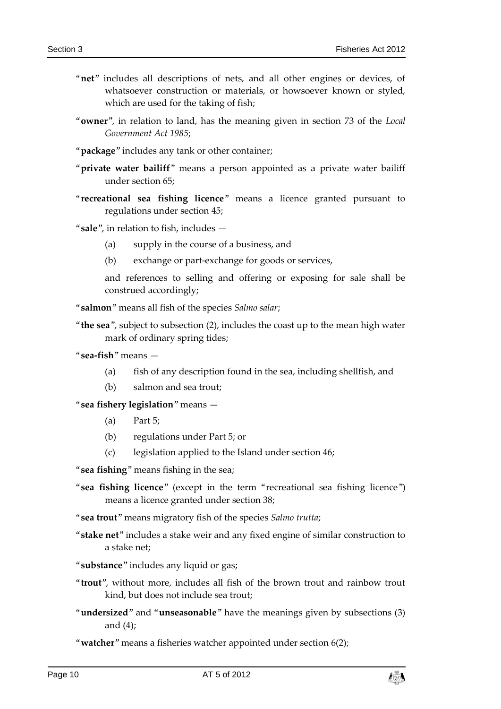- "**net**" includes all descriptions of nets, and all other engines or devices, of whatsoever construction or materials, or howsoever known or styled, which are used for the taking of fish;
- "**owner**", in relation to land, has the meaning given in section 73 of the *Local Government Act 1985*;
- "**package**" includes any tank or other container;
- "**private water bailiff**" means a person appointed as a private water bailiff under section 65;
- "**recreational sea fishing licence**" means a licence granted pursuant to regulations under section 45;
- "**sale**", in relation to fish, includes
	- (a) supply in the course of a business, and
	- (b) exchange or part-exchange for goods or services,

and references to selling and offering or exposing for sale shall be construed accordingly;

"**salmon**" means all fish of the species *Salmo salar*;

- "**the sea**", subject to subsection (2), includes the coast up to the mean high water mark of ordinary spring tides;
- "**sea-fish**" means
	- (a) fish of any description found in the sea, including shellfish, and
	- (b) salmon and sea trout;

"**sea fishery legislation**" means —

- (a) Part 5;
- (b) regulations under Part 5; or
- (c) legislation applied to the Island under section 46;

"**sea fishing**" means fishing in the sea;

"**sea fishing licence**" (except in the term "recreational sea fishing licence") means a licence granted under section 38;

"**sea trout**" means migratory fish of the species *Salmo trutta*;

"**stake net**" includes a stake weir and any fixed engine of similar construction to a stake net;

"**substance**" includes any liquid or gas;

- "**trout**", without more, includes all fish of the brown trout and rainbow trout kind, but does not include sea trout;
- "**undersized**" and "**unseasonable**" have the meanings given by subsections (3) and (4);

"**watcher**" means a fisheries watcher appointed under section 6(2);

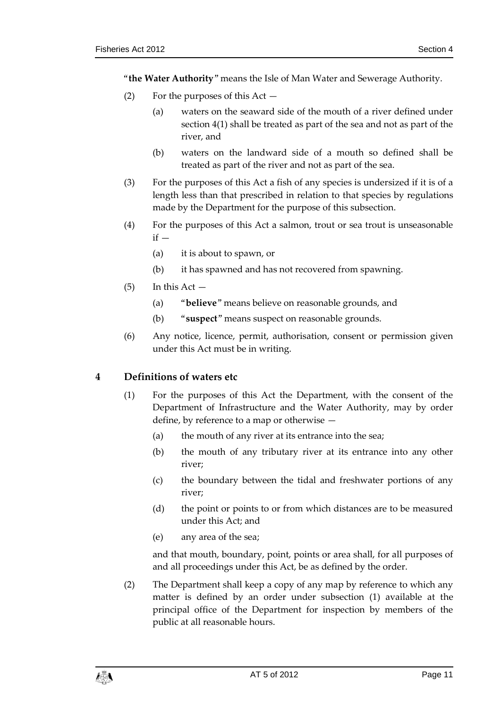"**the Water Authority**" means the Isle of Man Water and Sewerage Authority.

- (2) For the purposes of this Act
	- (a) waters on the seaward side of the mouth of a river defined under section 4(1) shall be treated as part of the sea and not as part of the river, and
	- (b) waters on the landward side of a mouth so defined shall be treated as part of the river and not as part of the sea.
- (3) For the purposes of this Act a fish of any species is undersized if it is of a length less than that prescribed in relation to that species by regulations made by the Department for the purpose of this subsection.
- (4) For the purposes of this Act a salmon, trout or sea trout is unseasonable  $if -$ 
	- (a) it is about to spawn, or
	- (b) it has spawned and has not recovered from spawning.
- $(5)$  In this Act  $-$ 
	- (a) "**believe**" means believe on reasonable grounds, and
	- (b) "**suspect**" means suspect on reasonable grounds.
- (6) Any notice, licence, permit, authorisation, consent or permission given under this Act must be in writing.

# <span id="page-10-0"></span>**4 Definitions of waters etc**

- (1) For the purposes of this Act the Department, with the consent of the Department of Infrastructure and the Water Authority, may by order define, by reference to a map or otherwise —
	- (a) the mouth of any river at its entrance into the sea;
	- (b) the mouth of any tributary river at its entrance into any other river;
	- (c) the boundary between the tidal and freshwater portions of any river;
	- (d) the point or points to or from which distances are to be measured under this Act; and
	- (e) any area of the sea;

and that mouth, boundary, point, points or area shall, for all purposes of and all proceedings under this Act, be as defined by the order.

(2) The Department shall keep a copy of any map by reference to which any matter is defined by an order under subsection (1) available at the principal office of the Department for inspection by members of the public at all reasonable hours.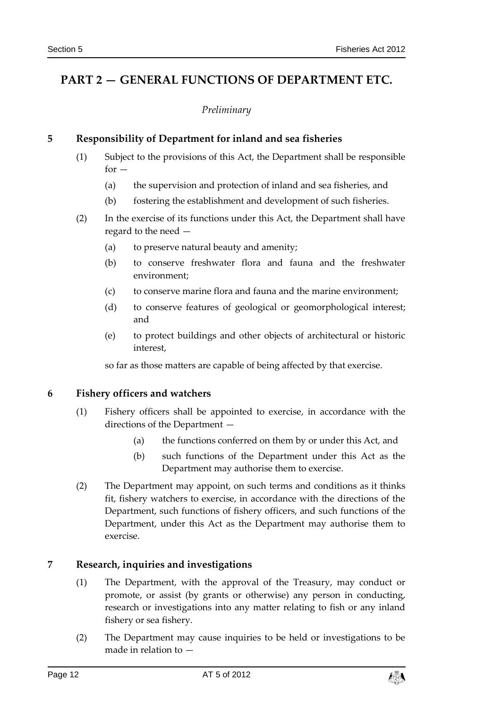# <span id="page-11-1"></span><span id="page-11-0"></span>**PART 2 — GENERAL FUNCTIONS OF DEPARTMENT ETC.**

### *Preliminary*

# <span id="page-11-2"></span>**5 Responsibility of Department for inland and sea fisheries**

- (1) Subject to the provisions of this Act, the Department shall be responsible  $for -$ 
	- (a) the supervision and protection of inland and sea fisheries, and
	- (b) fostering the establishment and development of such fisheries.
- (2) In the exercise of its functions under this Act, the Department shall have regard to the need —
	- (a) to preserve natural beauty and amenity;
	- (b) to conserve freshwater flora and fauna and the freshwater environment;
	- (c) to conserve marine flora and fauna and the marine environment;
	- (d) to conserve features of geological or geomorphological interest; and
	- (e) to protect buildings and other objects of architectural or historic interest,

so far as those matters are capable of being affected by that exercise.

# <span id="page-11-3"></span>**6 Fishery officers and watchers**

- (1) Fishery officers shall be appointed to exercise, in accordance with the directions of the Department —
	- (a) the functions conferred on them by or under this Act, and
	- (b) such functions of the Department under this Act as the Department may authorise them to exercise.
- (2) The Department may appoint, on such terms and conditions as it thinks fit, fishery watchers to exercise, in accordance with the directions of the Department, such functions of fishery officers, and such functions of the Department, under this Act as the Department may authorise them to exercise.

# <span id="page-11-4"></span>**7 Research, inquiries and investigations**

- (1) The Department, with the approval of the Treasury, may conduct or promote, or assist (by grants or otherwise) any person in conducting, research or investigations into any matter relating to fish or any inland fishery or sea fishery.
- (2) The Department may cause inquiries to be held or investigations to be made in relation to —

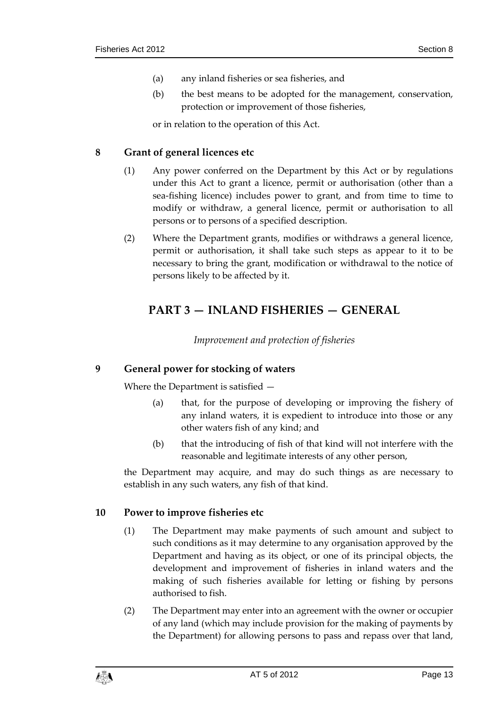- (a) any inland fisheries or sea fisheries, and
- (b) the best means to be adopted for the management, conservation, protection or improvement of those fisheries,

or in relation to the operation of this Act.

# <span id="page-12-0"></span>**8 Grant of general licences etc**

- (1) Any power conferred on the Department by this Act or by regulations under this Act to grant a licence, permit or authorisation (other than a sea-fishing licence) includes power to grant, and from time to time to modify or withdraw, a general licence, permit or authorisation to all persons or to persons of a specified description.
- <span id="page-12-1"></span>(2) Where the Department grants, modifies or withdraws a general licence, permit or authorisation, it shall take such steps as appear to it to be necessary to bring the grant, modification or withdrawal to the notice of persons likely to be affected by it.

# **PART 3 — INLAND FISHERIES — GENERAL**

*Improvement and protection of fisheries*

# <span id="page-12-3"></span><span id="page-12-2"></span>**9 General power for stocking of waters**

Where the Department is satisfied —

- (a) that, for the purpose of developing or improving the fishery of any inland waters, it is expedient to introduce into those or any other waters fish of any kind; and
- (b) that the introducing of fish of that kind will not interfere with the reasonable and legitimate interests of any other person,

the Department may acquire, and may do such things as are necessary to establish in any such waters, any fish of that kind.

# <span id="page-12-4"></span>**10 Power to improve fisheries etc**

- (1) The Department may make payments of such amount and subject to such conditions as it may determine to any organisation approved by the Department and having as its object, or one of its principal objects, the development and improvement of fisheries in inland waters and the making of such fisheries available for letting or fishing by persons authorised to fish.
- (2) The Department may enter into an agreement with the owner or occupier of any land (which may include provision for the making of payments by the Department) for allowing persons to pass and repass over that land,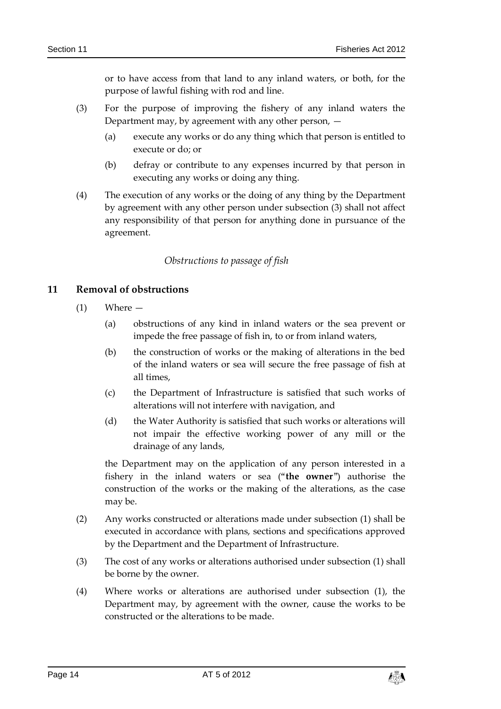or to have access from that land to any inland waters, or both, for the purpose of lawful fishing with rod and line.

- (3) For the purpose of improving the fishery of any inland waters the Department may, by agreement with any other person,  $-$ 
	- (a) execute any works or do any thing which that person is entitled to execute or do; or
	- (b) defray or contribute to any expenses incurred by that person in executing any works or doing any thing.
- (4) The execution of any works or the doing of any thing by the Department by agreement with any other person under subsection (3) shall not affect any responsibility of that person for anything done in pursuance of the agreement.

# *Obstructions to passage of fish*

# <span id="page-13-1"></span><span id="page-13-0"></span>**11 Removal of obstructions**

- (1) Where
	- (a) obstructions of any kind in inland waters or the sea prevent or impede the free passage of fish in, to or from inland waters,
	- (b) the construction of works or the making of alterations in the bed of the inland waters or sea will secure the free passage of fish at all times,
	- (c) the Department of Infrastructure is satisfied that such works of alterations will not interfere with navigation, and
	- (d) the Water Authority is satisfied that such works or alterations will not impair the effective working power of any mill or the drainage of any lands,

the Department may on the application of any person interested in a fishery in the inland waters or sea ("**the owner**") authorise the construction of the works or the making of the alterations, as the case may be.

- (2) Any works constructed or alterations made under subsection (1) shall be executed in accordance with plans, sections and specifications approved by the Department and the Department of Infrastructure.
- (3) The cost of any works or alterations authorised under subsection (1) shall be borne by the owner.
- (4) Where works or alterations are authorised under subsection (1), the Department may, by agreement with the owner, cause the works to be constructed or the alterations to be made.

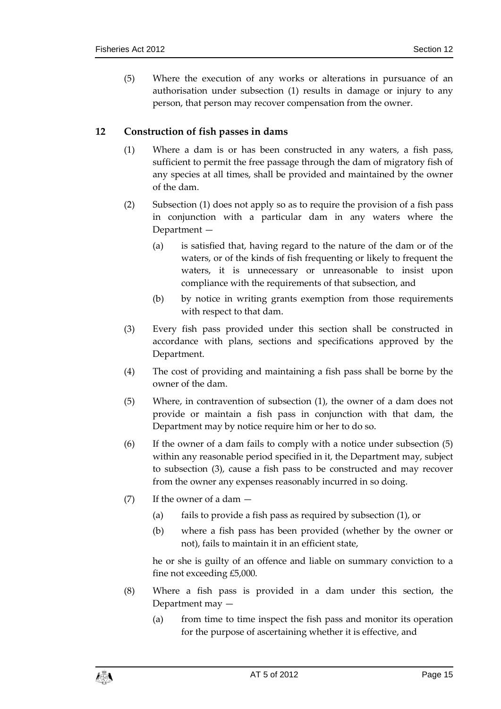(5) Where the execution of any works or alterations in pursuance of an authorisation under subsection (1) results in damage or injury to any person, that person may recover compensation from the owner.

# <span id="page-14-0"></span>**12 Construction of fish passes in dams**

- (1) Where a dam is or has been constructed in any waters, a fish pass, sufficient to permit the free passage through the dam of migratory fish of any species at all times, shall be provided and maintained by the owner of the dam.
- (2) Subsection (1) does not apply so as to require the provision of a fish pass in conjunction with a particular dam in any waters where the Department —
	- (a) is satisfied that, having regard to the nature of the dam or of the waters, or of the kinds of fish frequenting or likely to frequent the waters, it is unnecessary or unreasonable to insist upon compliance with the requirements of that subsection, and
	- (b) by notice in writing grants exemption from those requirements with respect to that dam.
- (3) Every fish pass provided under this section shall be constructed in accordance with plans, sections and specifications approved by the Department.
- (4) The cost of providing and maintaining a fish pass shall be borne by the owner of the dam.
- (5) Where, in contravention of subsection (1), the owner of a dam does not provide or maintain a fish pass in conjunction with that dam, the Department may by notice require him or her to do so.
- (6) If the owner of a dam fails to comply with a notice under subsection (5) within any reasonable period specified in it, the Department may, subject to subsection (3), cause a fish pass to be constructed and may recover from the owner any expenses reasonably incurred in so doing.
- (7) If the owner of a dam
	- (a) fails to provide a fish pass as required by subsection (1), or
	- (b) where a fish pass has been provided (whether by the owner or not), fails to maintain it in an efficient state,

he or she is guilty of an offence and liable on summary conviction to a fine not exceeding £5,000.

- (8) Where a fish pass is provided in a dam under this section, the Department may —
	- (a) from time to time inspect the fish pass and monitor its operation for the purpose of ascertaining whether it is effective, and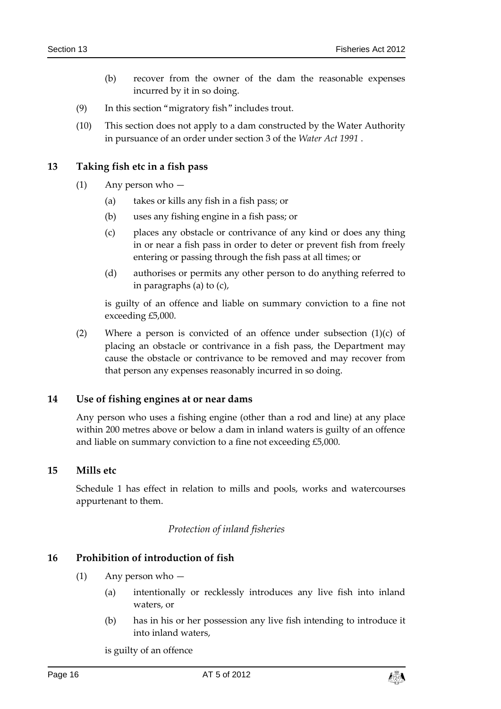- (b) recover from the owner of the dam the reasonable expenses incurred by it in so doing.
- (9) In this section "migratory fish" includes trout.
- (10) This section does not apply to a dam constructed by the Water Authority in pursuance of an order under section 3 of the *Water Act 1991* .

# <span id="page-15-0"></span>**13 Taking fish etc in a fish pass**

- (1) Any person who
	- (a) takes or kills any fish in a fish pass; or
	- (b) uses any fishing engine in a fish pass; or
	- (c) places any obstacle or contrivance of any kind or does any thing in or near a fish pass in order to deter or prevent fish from freely entering or passing through the fish pass at all times; or
	- (d) authorises or permits any other person to do anything referred to in paragraphs (a) to (c),

is guilty of an offence and liable on summary conviction to a fine not exceeding £5,000.

(2) Where a person is convicted of an offence under subsection (1)(c) of placing an obstacle or contrivance in a fish pass, the Department may cause the obstacle or contrivance to be removed and may recover from that person any expenses reasonably incurred in so doing.

#### <span id="page-15-1"></span>**14 Use of fishing engines at or near dams**

Any person who uses a fishing engine (other than a rod and line) at any place within 200 metres above or below a dam in inland waters is guilty of an offence and liable on summary conviction to a fine not exceeding £5,000.

#### <span id="page-15-2"></span>**15 Mills etc**

<span id="page-15-3"></span>Schedule 1 has effect in relation to mills and pools, works and watercourses appurtenant to them.

#### *Protection of inland fisheries*

#### <span id="page-15-4"></span>**16 Prohibition of introduction of fish**

- (1) Any person who
	- (a) intentionally or recklessly introduces any live fish into inland waters, or
	- (b) has in his or her possession any live fish intending to introduce it into inland waters,

is guilty of an offence

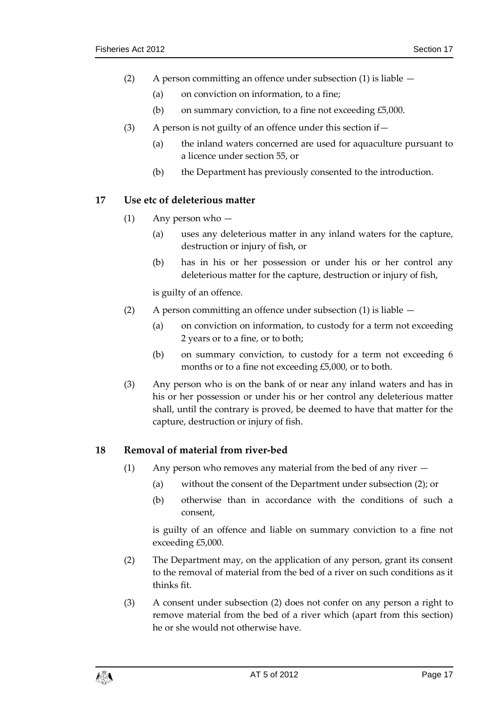- (2) A person committing an offence under subsection (1) is liable
	- (a) on conviction on information, to a fine;
	- (b) on summary conviction, to a fine not exceeding £5,000.
- (3) A person is not guilty of an offence under this section if  $-$ 
	- (a) the inland waters concerned are used for aquaculture pursuant to a licence under section 55, or
	- (b) the Department has previously consented to the introduction.

# <span id="page-16-0"></span>**17 Use etc of deleterious matter**

- (1) Any person who
	- (a) uses any deleterious matter in any inland waters for the capture, destruction or injury of fish, or
	- (b) has in his or her possession or under his or her control any deleterious matter for the capture, destruction or injury of fish,

is guilty of an offence.

- (2) A person committing an offence under subsection (1) is liable
	- (a) on conviction on information, to custody for a term not exceeding 2 years or to a fine, or to both;
	- (b) on summary conviction, to custody for a term not exceeding 6 months or to a fine not exceeding £5,000, or to both.
- (3) Any person who is on the bank of or near any inland waters and has in his or her possession or under his or her control any deleterious matter shall, until the contrary is proved, be deemed to have that matter for the capture, destruction or injury of fish.

# <span id="page-16-1"></span>**18 Removal of material from river-bed**

- (1) Any person who removes any material from the bed of any river  $-$ 
	- (a) without the consent of the Department under subsection (2); or
	- (b) otherwise than in accordance with the conditions of such a consent,

is guilty of an offence and liable on summary conviction to a fine not exceeding £5,000.

- (2) The Department may, on the application of any person, grant its consent to the removal of material from the bed of a river on such conditions as it thinks fit.
- (3) A consent under subsection (2) does not confer on any person a right to remove material from the bed of a river which (apart from this section) he or she would not otherwise have.

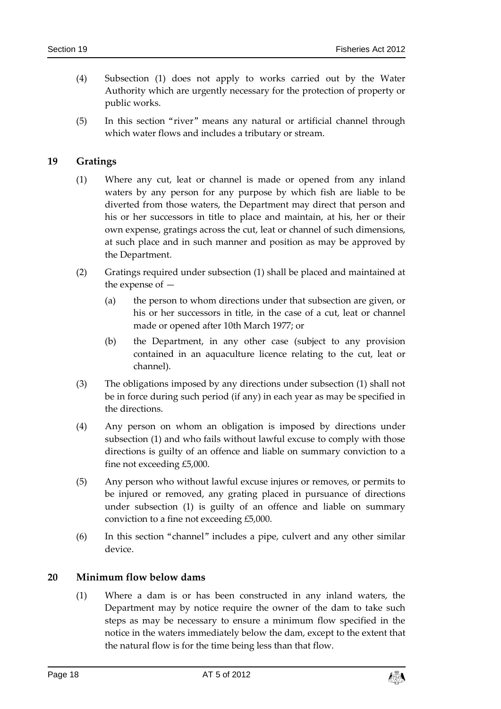- (4) Subsection (1) does not apply to works carried out by the Water Authority which are urgently necessary for the protection of property or public works.
- (5) In this section "river" means any natural or artificial channel through which water flows and includes a tributary or stream.

# <span id="page-17-0"></span>**19 Gratings**

- (1) Where any cut, leat or channel is made or opened from any inland waters by any person for any purpose by which fish are liable to be diverted from those waters, the Department may direct that person and his or her successors in title to place and maintain, at his, her or their own expense, gratings across the cut, leat or channel of such dimensions, at such place and in such manner and position as may be approved by the Department.
- (2) Gratings required under subsection (1) shall be placed and maintained at the expense of —
	- (a) the person to whom directions under that subsection are given, or his or her successors in title, in the case of a cut, leat or channel made or opened after 10th March 1977; or
	- (b) the Department, in any other case (subject to any provision contained in an aquaculture licence relating to the cut, leat or channel).
- (3) The obligations imposed by any directions under subsection (1) shall not be in force during such period (if any) in each year as may be specified in the directions.
- (4) Any person on whom an obligation is imposed by directions under subsection (1) and who fails without lawful excuse to comply with those directions is guilty of an offence and liable on summary conviction to a fine not exceeding £5,000.
- (5) Any person who without lawful excuse injures or removes, or permits to be injured or removed, any grating placed in pursuance of directions under subsection (1) is guilty of an offence and liable on summary conviction to a fine not exceeding £5,000.
- (6) In this section "channel" includes a pipe, culvert and any other similar device.

#### <span id="page-17-1"></span>**20 Minimum flow below dams**

(1) Where a dam is or has been constructed in any inland waters, the Department may by notice require the owner of the dam to take such steps as may be necessary to ensure a minimum flow specified in the notice in the waters immediately below the dam, except to the extent that the natural flow is for the time being less than that flow.

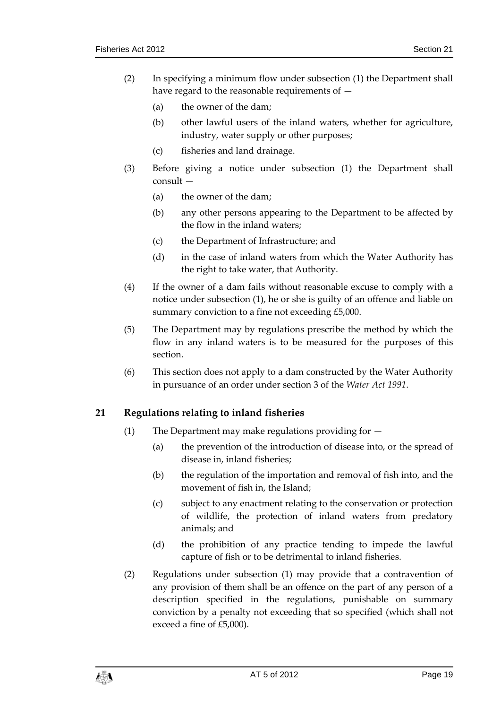- (2) In specifying a minimum flow under subsection (1) the Department shall have regard to the reasonable requirements of —
	- (a) the owner of the dam;
	- (b) other lawful users of the inland waters, whether for agriculture, industry, water supply or other purposes;
	- (c) fisheries and land drainage.
- (3) Before giving a notice under subsection (1) the Department shall consult —
	- (a) the owner of the dam;
	- (b) any other persons appearing to the Department to be affected by the flow in the inland waters;
	- (c) the Department of Infrastructure; and
	- (d) in the case of inland waters from which the Water Authority has the right to take water, that Authority.
- (4) If the owner of a dam fails without reasonable excuse to comply with a notice under subsection (1), he or she is guilty of an offence and liable on summary conviction to a fine not exceeding £5,000.
- (5) The Department may by regulations prescribe the method by which the flow in any inland waters is to be measured for the purposes of this section.
- (6) This section does not apply to a dam constructed by the Water Authority in pursuance of an order under section 3 of the *Water Act 1991*.

# <span id="page-18-0"></span>**21 Regulations relating to inland fisheries**

- (1) The Department may make regulations providing for
	- (a) the prevention of the introduction of disease into, or the spread of disease in, inland fisheries;
	- (b) the regulation of the importation and removal of fish into, and the movement of fish in, the Island;
	- (c) subject to any enactment relating to the conservation or protection of wildlife, the protection of inland waters from predatory animals; and
	- (d) the prohibition of any practice tending to impede the lawful capture of fish or to be detrimental to inland fisheries.
- (2) Regulations under subsection (1) may provide that a contravention of any provision of them shall be an offence on the part of any person of a description specified in the regulations, punishable on summary conviction by a penalty not exceeding that so specified (which shall not exceed a fine of £5,000).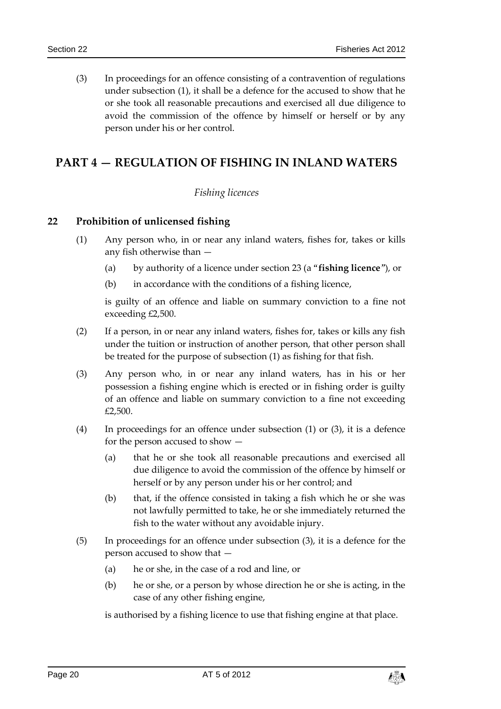(3) In proceedings for an offence consisting of a contravention of regulations under subsection (1), it shall be a defence for the accused to show that he or she took all reasonable precautions and exercised all due diligence to avoid the commission of the offence by himself or herself or by any person under his or her control.

# <span id="page-19-1"></span><span id="page-19-0"></span>**PART 4 — REGULATION OF FISHING IN INLAND WATERS**

# *Fishing licences*

# <span id="page-19-2"></span>**22 Prohibition of unlicensed fishing**

- (1) Any person who, in or near any inland waters, fishes for, takes or kills any fish otherwise than —
	- (a) by authority of a licence under section 23 (a "**fishing licence**"), or
	- (b) in accordance with the conditions of a fishing licence,

is guilty of an offence and liable on summary conviction to a fine not exceeding £2,500.

- (2) If a person, in or near any inland waters, fishes for, takes or kills any fish under the tuition or instruction of another person, that other person shall be treated for the purpose of subsection (1) as fishing for that fish.
- (3) Any person who, in or near any inland waters, has in his or her possession a fishing engine which is erected or in fishing order is guilty of an offence and liable on summary conviction to a fine not exceeding £2,500.
- (4) In proceedings for an offence under subsection (1) or (3), it is a defence for the person accused to show —
	- (a) that he or she took all reasonable precautions and exercised all due diligence to avoid the commission of the offence by himself or herself or by any person under his or her control; and
	- (b) that, if the offence consisted in taking a fish which he or she was not lawfully permitted to take, he or she immediately returned the fish to the water without any avoidable injury.
- (5) In proceedings for an offence under subsection (3), it is a defence for the person accused to show that —
	- (a) he or she, in the case of a rod and line, or
	- (b) he or she, or a person by whose direction he or she is acting, in the case of any other fishing engine,

is authorised by a fishing licence to use that fishing engine at that place.

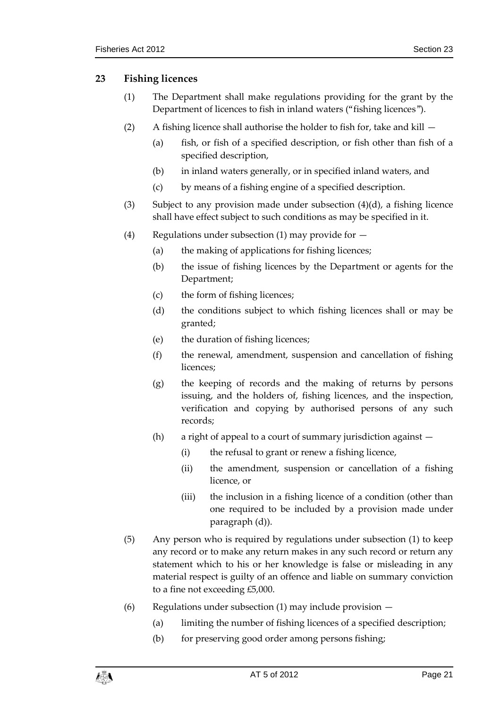# <span id="page-20-0"></span>**23 Fishing licences**

- (1) The Department shall make regulations providing for the grant by the Department of licences to fish in inland waters ("fishing licences").
- (2) A fishing licence shall authorise the holder to fish for, take and kill  $-$ 
	- (a) fish, or fish of a specified description, or fish other than fish of a specified description,
	- (b) in inland waters generally, or in specified inland waters, and
	- (c) by means of a fishing engine of a specified description.
- (3) Subject to any provision made under subsection  $(4)(d)$ , a fishing licence shall have effect subject to such conditions as may be specified in it.
- (4) Regulations under subsection (1) may provide for  $-$ 
	- (a) the making of applications for fishing licences;
	- (b) the issue of fishing licences by the Department or agents for the Department;
	- (c) the form of fishing licences;
	- (d) the conditions subject to which fishing licences shall or may be granted;
	- (e) the duration of fishing licences;
	- (f) the renewal, amendment, suspension and cancellation of fishing licences;
	- (g) the keeping of records and the making of returns by persons issuing, and the holders of, fishing licences, and the inspection, verification and copying by authorised persons of any such records;
	- (h) a right of appeal to a court of summary jurisdiction against
		- (i) the refusal to grant or renew a fishing licence,
		- (ii) the amendment, suspension or cancellation of a fishing licence, or
		- (iii) the inclusion in a fishing licence of a condition (other than one required to be included by a provision made under paragraph (d)).
- (5) Any person who is required by regulations under subsection (1) to keep any record or to make any return makes in any such record or return any statement which to his or her knowledge is false or misleading in any material respect is guilty of an offence and liable on summary conviction to a fine not exceeding £5,000.
- (6) Regulations under subsection  $(1)$  may include provision  $-$ 
	- (a) limiting the number of fishing licences of a specified description;
	- (b) for preserving good order among persons fishing;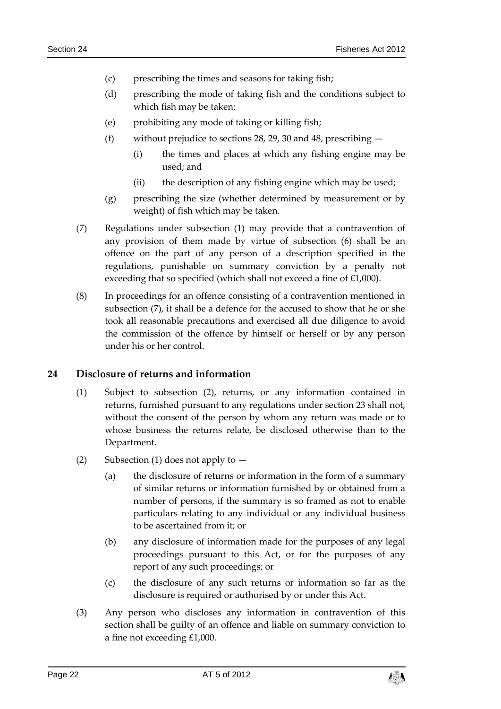- (c) prescribing the times and seasons for taking fish;
- (d) prescribing the mode of taking fish and the conditions subject to which fish may be taken;
- (e) prohibiting any mode of taking or killing fish;
- (f) without prejudice to sections 28, 29, 30 and 48, prescribing
	- (i) the times and places at which any fishing engine may be used; and
	- (ii) the description of any fishing engine which may be used;
- (g) prescribing the size (whether determined by measurement or by weight) of fish which may be taken.
- (7) Regulations under subsection (1) may provide that a contravention of any provision of them made by virtue of subsection (6) shall be an offence on the part of any person of a description specified in the regulations, punishable on summary conviction by a penalty not exceeding that so specified (which shall not exceed a fine of £1,000).
- (8) In proceedings for an offence consisting of a contravention mentioned in subsection (7), it shall be a defence for the accused to show that he or she took all reasonable precautions and exercised all due diligence to avoid the commission of the offence by himself or herself or by any person under his or her control.

#### <span id="page-21-0"></span>**24 Disclosure of returns and information**

- (1) Subject to subsection (2), returns, or any information contained in returns, furnished pursuant to any regulations under section 23 shall not, without the consent of the person by whom any return was made or to whose business the returns relate, be disclosed otherwise than to the Department.
- (2) Subsection (1) does not apply to  $-$ 
	- (a) the disclosure of returns or information in the form of a summary of similar returns or information furnished by or obtained from a number of persons, if the summary is so framed as not to enable particulars relating to any individual or any individual business to be ascertained from it; or
	- (b) any disclosure of information made for the purposes of any legal proceedings pursuant to this Act, or for the purposes of any report of any such proceedings; or
	- (c) the disclosure of any such returns or information so far as the disclosure is required or authorised by or under this Act.
- (3) Any person who discloses any information in contravention of this section shall be guilty of an offence and liable on summary conviction to a fine not exceeding £1,000.

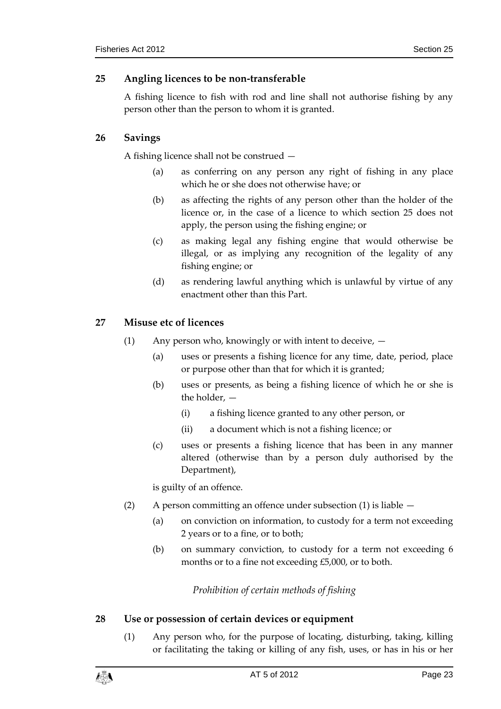# <span id="page-22-0"></span>**25 Angling licences to be non-transferable**

A fishing licence to fish with rod and line shall not authorise fishing by any person other than the person to whom it is granted.

# <span id="page-22-1"></span>**26 Savings**

A fishing licence shall not be construed —

- (a) as conferring on any person any right of fishing in any place which he or she does not otherwise have; or
- (b) as affecting the rights of any person other than the holder of the licence or, in the case of a licence to which section 25 does not apply, the person using the fishing engine; or
- (c) as making legal any fishing engine that would otherwise be illegal, or as implying any recognition of the legality of any fishing engine; or
- (d) as rendering lawful anything which is unlawful by virtue of any enactment other than this Part.

# <span id="page-22-2"></span>**27 Misuse etc of licences**

- (1) Any person who, knowingly or with intent to deceive,
	- (a) uses or presents a fishing licence for any time, date, period, place or purpose other than that for which it is granted;
	- (b) uses or presents, as being a fishing licence of which he or she is the holder, —
		- (i) a fishing licence granted to any other person, or
		- (ii) a document which is not a fishing licence; or
	- (c) uses or presents a fishing licence that has been in any manner altered (otherwise than by a person duly authorised by the Department),

is guilty of an offence.

- (2) A person committing an offence under subsection (1) is liable
	- (a) on conviction on information, to custody for a term not exceeding 2 years or to a fine, or to both;
	- (b) on summary conviction, to custody for a term not exceeding 6 months or to a fine not exceeding £5,000, or to both.

*Prohibition of certain methods of fishing*

# <span id="page-22-4"></span><span id="page-22-3"></span>**28 Use or possession of certain devices or equipment**

(1) Any person who, for the purpose of locating, disturbing, taking, killing or facilitating the taking or killing of any fish, uses, or has in his or her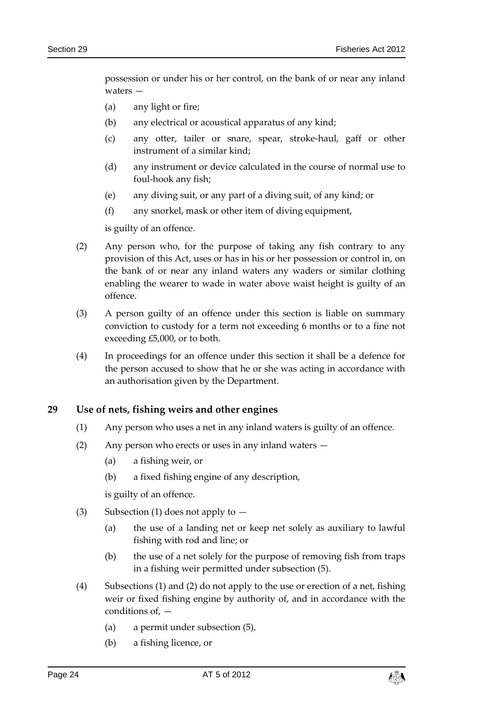possession or under his or her control, on the bank of or near any inland waters —

- (a) any light or fire;
- (b) any electrical or acoustical apparatus of any kind;
- (c) any otter, tailer or snare, spear, stroke-haul, gaff or other instrument of a similar kind;
- (d) any instrument or device calculated in the course of normal use to foul-hook any fish;
- (e) any diving suit, or any part of a diving suit, of any kind; or
- (f) any snorkel, mask or other item of diving equipment,

is guilty of an offence.

- (2) Any person who, for the purpose of taking any fish contrary to any provision of this Act, uses or has in his or her possession or control in, on the bank of or near any inland waters any waders or similar clothing enabling the wearer to wade in water above waist height is guilty of an offence.
- (3) A person guilty of an offence under this section is liable on summary conviction to custody for a term not exceeding 6 months or to a fine not exceeding £5,000, or to both.
- (4) In proceedings for an offence under this section it shall be a defence for the person accused to show that he or she was acting in accordance with an authorisation given by the Department.

#### <span id="page-23-0"></span>**29 Use of nets, fishing weirs and other engines**

- (1) Any person who uses a net in any inland waters is guilty of an offence.
- (2) Any person who erects or uses in any inland waters
	- (a) a fishing weir, or
	- (b) a fixed fishing engine of any description,

is guilty of an offence.

- (3) Subsection (1) does not apply to  $-$ 
	- (a) the use of a landing net or keep net solely as auxiliary to lawful fishing with rod and line; or
	- (b) the use of a net solely for the purpose of removing fish from traps in a fishing weir permitted under subsection (5).
- (4) Subsections (1) and (2) do not apply to the use or erection of a net, fishing weir or fixed fishing engine by authority of, and in accordance with the conditions of, —
	- (a) a permit under subsection (5),
	- (b) a fishing licence, or

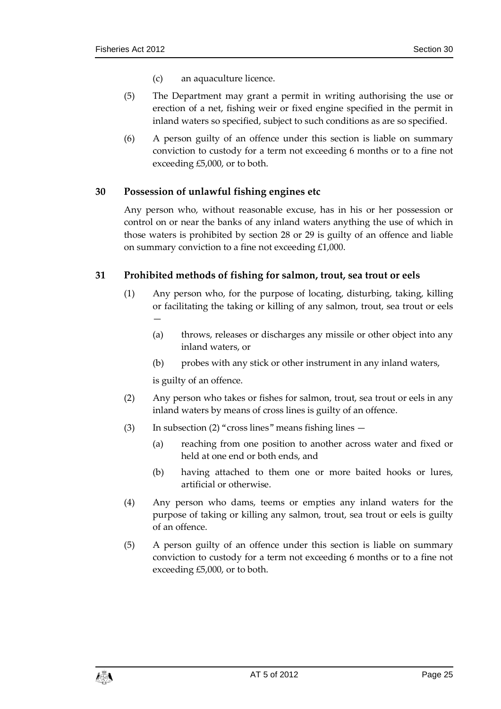- (c) an aquaculture licence.
- (5) The Department may grant a permit in writing authorising the use or erection of a net, fishing weir or fixed engine specified in the permit in inland waters so specified, subject to such conditions as are so specified.
- (6) A person guilty of an offence under this section is liable on summary conviction to custody for a term not exceeding 6 months or to a fine not exceeding £5,000, or to both.

#### <span id="page-24-0"></span>**30 Possession of unlawful fishing engines etc**

Any person who, without reasonable excuse, has in his or her possession or control on or near the banks of any inland waters anything the use of which in those waters is prohibited by section 28 or 29 is guilty of an offence and liable on summary conviction to a fine not exceeding £1,000.

#### <span id="page-24-1"></span>**31 Prohibited methods of fishing for salmon, trout, sea trout or eels**

- (1) Any person who, for the purpose of locating, disturbing, taking, killing or facilitating the taking or killing of any salmon, trout, sea trout or eels  $\overline{\phantom{0}}$ 
	- (a) throws, releases or discharges any missile or other object into any inland waters, or
	- (b) probes with any stick or other instrument in any inland waters,

is guilty of an offence.

- (2) Any person who takes or fishes for salmon, trout, sea trout or eels in any inland waters by means of cross lines is guilty of an offence.
- (3) In subsection (2) "cross lines" means fishing lines  $-$ 
	- (a) reaching from one position to another across water and fixed or held at one end or both ends, and
	- (b) having attached to them one or more baited hooks or lures, artificial or otherwise.
- (4) Any person who dams, teems or empties any inland waters for the purpose of taking or killing any salmon, trout, sea trout or eels is guilty of an offence.
- (5) A person guilty of an offence under this section is liable on summary conviction to custody for a term not exceeding 6 months or to a fine not exceeding £5,000, or to both.

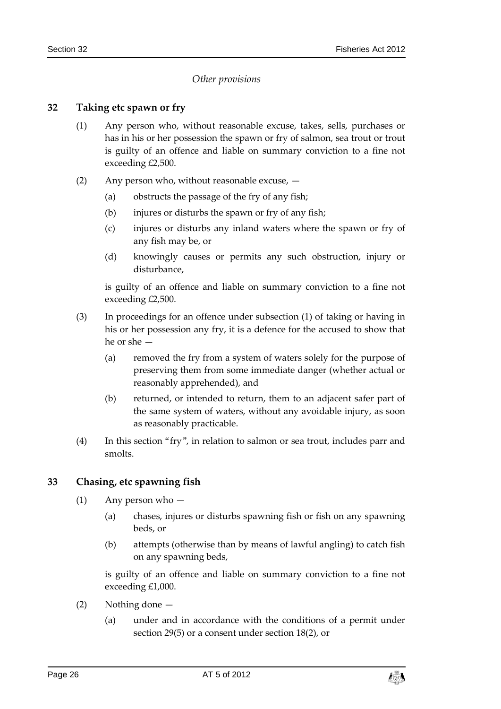# *Other provisions*

#### <span id="page-25-1"></span><span id="page-25-0"></span>**32 Taking etc spawn or fry**

- (1) Any person who, without reasonable excuse, takes, sells, purchases or has in his or her possession the spawn or fry of salmon, sea trout or trout is guilty of an offence and liable on summary conviction to a fine not exceeding £2,500.
- (2) Any person who, without reasonable excuse,
	- (a) obstructs the passage of the fry of any fish;
	- (b) injures or disturbs the spawn or fry of any fish;
	- (c) injures or disturbs any inland waters where the spawn or fry of any fish may be, or
	- (d) knowingly causes or permits any such obstruction, injury or disturbance,

is guilty of an offence and liable on summary conviction to a fine not exceeding £2,500.

- (3) In proceedings for an offence under subsection (1) of taking or having in his or her possession any fry, it is a defence for the accused to show that he or she —
	- (a) removed the fry from a system of waters solely for the purpose of preserving them from some immediate danger (whether actual or reasonably apprehended), and
	- (b) returned, or intended to return, them to an adjacent safer part of the same system of waters, without any avoidable injury, as soon as reasonably practicable.
- (4) In this section "fry", in relation to salmon or sea trout, includes parr and smolts.

# <span id="page-25-2"></span>**33 Chasing, etc spawning fish**

- (1) Any person who
	- (a) chases, injures or disturbs spawning fish or fish on any spawning beds, or
	- (b) attempts (otherwise than by means of lawful angling) to catch fish on any spawning beds,

is guilty of an offence and liable on summary conviction to a fine not exceeding £1,000.

- (2) Nothing done
	- (a) under and in accordance with the conditions of a permit under section 29(5) or a consent under section 18(2), or

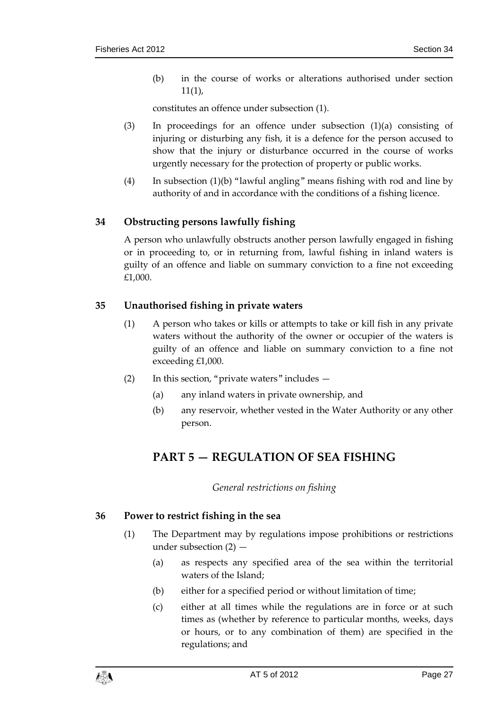(b) in the course of works or alterations authorised under section 11(1),

constitutes an offence under subsection (1).

- (3) In proceedings for an offence under subsection  $(1)(a)$  consisting of injuring or disturbing any fish, it is a defence for the person accused to show that the injury or disturbance occurred in the course of works urgently necessary for the protection of property or public works.
- (4) In subsection (1)(b) "lawful angling" means fishing with rod and line by authority of and in accordance with the conditions of a fishing licence.

# <span id="page-26-0"></span>**34 Obstructing persons lawfully fishing**

A person who unlawfully obstructs another person lawfully engaged in fishing or in proceeding to, or in returning from, lawful fishing in inland waters is guilty of an offence and liable on summary conviction to a fine not exceeding £1,000.

# <span id="page-26-1"></span>**35 Unauthorised fishing in private waters**

- (1) A person who takes or kills or attempts to take or kill fish in any private waters without the authority of the owner or occupier of the waters is guilty of an offence and liable on summary conviction to a fine not exceeding £1,000.
- (2) In this section, "private waters" includes  $-$ 
	- (a) any inland waters in private ownership, and
	- (b) any reservoir, whether vested in the Water Authority or any other person.

# <span id="page-26-2"></span>**PART 5 — REGULATION OF SEA FISHING**

*General restrictions on fishing*

# <span id="page-26-4"></span><span id="page-26-3"></span>**36 Power to restrict fishing in the sea**

- (1) The Department may by regulations impose prohibitions or restrictions under subsection (2) —
	- (a) as respects any specified area of the sea within the territorial waters of the Island;
	- (b) either for a specified period or without limitation of time;
	- (c) either at all times while the regulations are in force or at such times as (whether by reference to particular months, weeks, days or hours, or to any combination of them) are specified in the regulations; and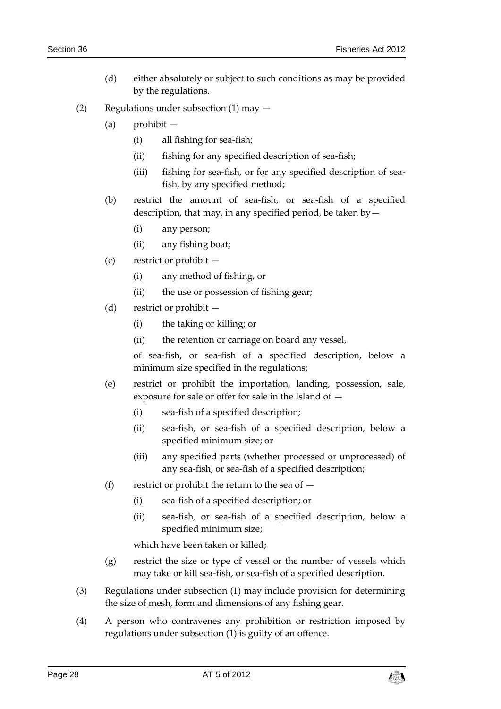- (d) either absolutely or subject to such conditions as may be provided by the regulations.
- (2) Regulations under subsection (1) may
	- (a) prohibit
		- (i) all fishing for sea-fish;
		- (ii) fishing for any specified description of sea-fish;
		- (iii) fishing for sea-fish, or for any specified description of seafish, by any specified method;
	- (b) restrict the amount of sea-fish, or sea-fish of a specified description, that may, in any specified period, be taken by—
		- (i) any person;
		- (ii) any fishing boat;
	- (c) restrict or prohibit
		- (i) any method of fishing, or
		- (ii) the use or possession of fishing gear;
	- (d) restrict or prohibit
		- (i) the taking or killing; or
		- (ii) the retention or carriage on board any vessel,

of sea-fish, or sea-fish of a specified description, below a minimum size specified in the regulations;

- (e) restrict or prohibit the importation, landing, possession, sale, exposure for sale or offer for sale in the Island of —
	- (i) sea-fish of a specified description;
	- (ii) sea-fish, or sea-fish of a specified description, below a specified minimum size; or
	- (iii) any specified parts (whether processed or unprocessed) of any sea-fish, or sea-fish of a specified description;
- (f) restrict or prohibit the return to the sea of  $-$ 
	- (i) sea-fish of a specified description; or
	- (ii) sea-fish, or sea-fish of a specified description, below a specified minimum size;

which have been taken or killed;

- (g) restrict the size or type of vessel or the number of vessels which may take or kill sea-fish, or sea-fish of a specified description.
- (3) Regulations under subsection (1) may include provision for determining the size of mesh, form and dimensions of any fishing gear.
- (4) A person who contravenes any prohibition or restriction imposed by regulations under subsection (1) is guilty of an offence.

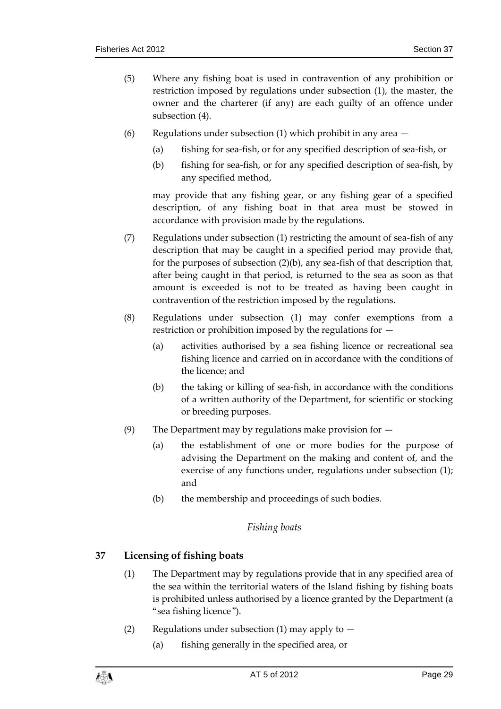- (5) Where any fishing boat is used in contravention of any prohibition or restriction imposed by regulations under subsection (1), the master, the owner and the charterer (if any) are each guilty of an offence under subsection (4).
- (6) Regulations under subsection (1) which prohibit in any area
	- (a) fishing for sea-fish, or for any specified description of sea-fish, or
	- (b) fishing for sea-fish, or for any specified description of sea-fish, by any specified method,

may provide that any fishing gear, or any fishing gear of a specified description, of any fishing boat in that area must be stowed in accordance with provision made by the regulations.

- (7) Regulations under subsection (1) restricting the amount of sea-fish of any description that may be caught in a specified period may provide that, for the purposes of subsection (2)(b), any sea-fish of that description that, after being caught in that period, is returned to the sea as soon as that amount is exceeded is not to be treated as having been caught in contravention of the restriction imposed by the regulations.
- (8) Regulations under subsection (1) may confer exemptions from a restriction or prohibition imposed by the regulations for —
	- (a) activities authorised by a sea fishing licence or recreational sea fishing licence and carried on in accordance with the conditions of the licence; and
	- (b) the taking or killing of sea-fish, in accordance with the conditions of a written authority of the Department, for scientific or stocking or breeding purposes.
- (9) The Department may by regulations make provision for
	- (a) the establishment of one or more bodies for the purpose of advising the Department on the making and content of, and the exercise of any functions under, regulations under subsection (1); and
	- (b) the membership and proceedings of such bodies.

# *Fishing boats*

# <span id="page-28-1"></span><span id="page-28-0"></span>**37 Licensing of fishing boats**

- (1) The Department may by regulations provide that in any specified area of the sea within the territorial waters of the Island fishing by fishing boats is prohibited unless authorised by a licence granted by the Department (a "sea fishing licence").
- (2) Regulations under subsection (1) may apply to  $-$ 
	- (a) fishing generally in the specified area, or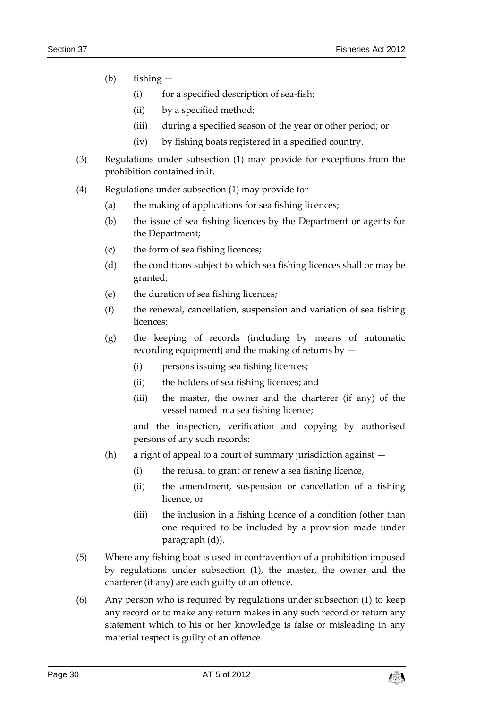- (b) fishing
	- (i) for a specified description of sea-fish;
	- (ii) by a specified method;
	- (iii) during a specified season of the year or other period; or
	- (iv) by fishing boats registered in a specified country.
- (3) Regulations under subsection (1) may provide for exceptions from the prohibition contained in it.
- (4) Regulations under subsection (1) may provide for  $-$ 
	- (a) the making of applications for sea fishing licences;
	- (b) the issue of sea fishing licences by the Department or agents for the Department;
	- (c) the form of sea fishing licences;
	- (d) the conditions subject to which sea fishing licences shall or may be granted;
	- (e) the duration of sea fishing licences;
	- (f) the renewal, cancellation, suspension and variation of sea fishing licences;
	- (g) the keeping of records (including by means of automatic recording equipment) and the making of returns by —
		- (i) persons issuing sea fishing licences;
		- (ii) the holders of sea fishing licences; and
		- (iii) the master, the owner and the charterer (if any) of the vessel named in a sea fishing licence;

and the inspection, verification and copying by authorised persons of any such records;

- (h) a right of appeal to a court of summary jurisdiction against
	- (i) the refusal to grant or renew a sea fishing licence,
	- (ii) the amendment, suspension or cancellation of a fishing licence, or
	- (iii) the inclusion in a fishing licence of a condition (other than one required to be included by a provision made under paragraph (d)).
- (5) Where any fishing boat is used in contravention of a prohibition imposed by regulations under subsection (1), the master, the owner and the charterer (if any) are each guilty of an offence.
- (6) Any person who is required by regulations under subsection (1) to keep any record or to make any return makes in any such record or return any statement which to his or her knowledge is false or misleading in any material respect is guilty of an offence.

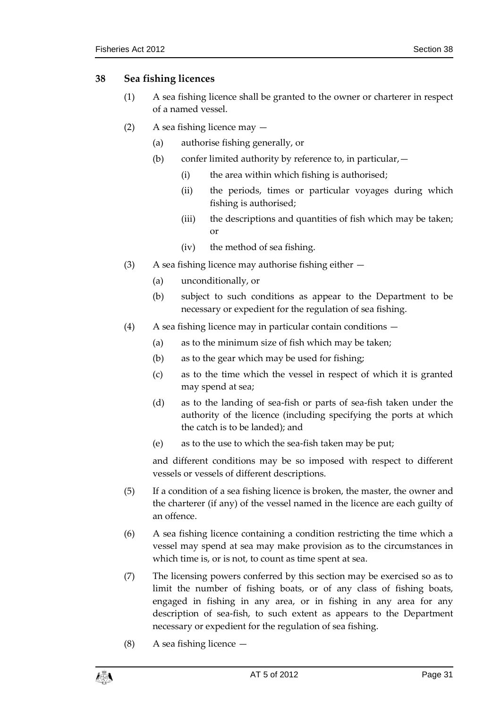### <span id="page-30-0"></span>**38 Sea fishing licences**

- (1) A sea fishing licence shall be granted to the owner or charterer in respect of a named vessel.
- (2) A sea fishing licence may
	- (a) authorise fishing generally, or
	- (b) confer limited authority by reference to, in particular,  $-$ 
		- (i) the area within which fishing is authorised;
		- (ii) the periods, times or particular voyages during which fishing is authorised;
		- (iii) the descriptions and quantities of fish which may be taken; or
		- (iv) the method of sea fishing.
- (3) A sea fishing licence may authorise fishing either
	- (a) unconditionally, or
	- (b) subject to such conditions as appear to the Department to be necessary or expedient for the regulation of sea fishing.
- (4) A sea fishing licence may in particular contain conditions
	- (a) as to the minimum size of fish which may be taken;
	- (b) as to the gear which may be used for fishing;
	- (c) as to the time which the vessel in respect of which it is granted may spend at sea;
	- (d) as to the landing of sea-fish or parts of sea-fish taken under the authority of the licence (including specifying the ports at which the catch is to be landed); and
	- (e) as to the use to which the sea-fish taken may be put;

and different conditions may be so imposed with respect to different vessels or vessels of different descriptions.

- (5) If a condition of a sea fishing licence is broken, the master, the owner and the charterer (if any) of the vessel named in the licence are each guilty of an offence.
- (6) A sea fishing licence containing a condition restricting the time which a vessel may spend at sea may make provision as to the circumstances in which time is, or is not, to count as time spent at sea.
- (7) The licensing powers conferred by this section may be exercised so as to limit the number of fishing boats, or of any class of fishing boats, engaged in fishing in any area, or in fishing in any area for any description of sea-fish, to such extent as appears to the Department necessary or expedient for the regulation of sea fishing.
- (8) A sea fishing licence —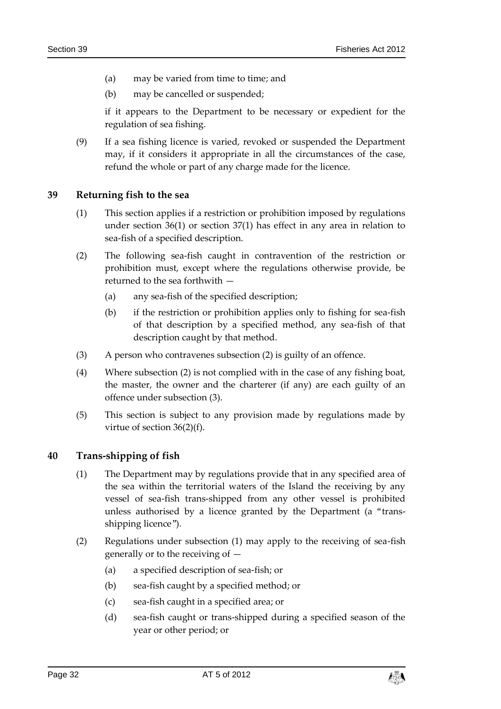- (a) may be varied from time to time; and
- (b) may be cancelled or suspended;

if it appears to the Department to be necessary or expedient for the regulation of sea fishing.

(9) If a sea fishing licence is varied, revoked or suspended the Department may, if it considers it appropriate in all the circumstances of the case, refund the whole or part of any charge made for the licence.

# <span id="page-31-0"></span>**39 Returning fish to the sea**

- (1) This section applies if a restriction or prohibition imposed by regulations under section 36(1) or section 37(1) has effect in any area in relation to sea-fish of a specified description.
- (2) The following sea-fish caught in contravention of the restriction or prohibition must, except where the regulations otherwise provide, be returned to the sea forthwith —
	- (a) any sea-fish of the specified description;
	- (b) if the restriction or prohibition applies only to fishing for sea-fish of that description by a specified method, any sea-fish of that description caught by that method.
- (3) A person who contravenes subsection (2) is guilty of an offence.
- (4) Where subsection (2) is not complied with in the case of any fishing boat, the master, the owner and the charterer (if any) are each guilty of an offence under subsection (3).
- (5) This section is subject to any provision made by regulations made by virtue of section 36(2)(f).

# <span id="page-31-1"></span>**40 Trans-shipping of fish**

- (1) The Department may by regulations provide that in any specified area of the sea within the territorial waters of the Island the receiving by any vessel of sea-fish trans-shipped from any other vessel is prohibited unless authorised by a licence granted by the Department (a "transshipping licence").
- (2) Regulations under subsection (1) may apply to the receiving of sea-fish generally or to the receiving of —
	- (a) a specified description of sea-fish; or
	- (b) sea-fish caught by a specified method; or
	- (c) sea-fish caught in a specified area; or
	- (d) sea-fish caught or trans-shipped during a specified season of the year or other period; or

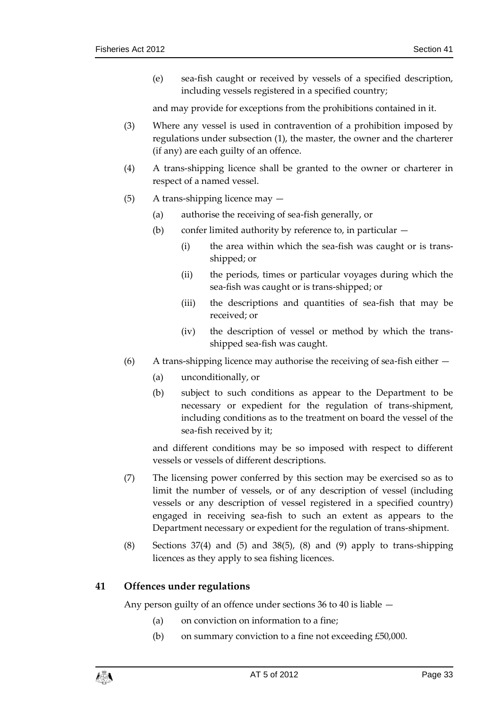(e) sea-fish caught or received by vessels of a specified description, including vessels registered in a specified country;

and may provide for exceptions from the prohibitions contained in it.

- (3) Where any vessel is used in contravention of a prohibition imposed by regulations under subsection (1), the master, the owner and the charterer (if any) are each guilty of an offence.
- (4) A trans-shipping licence shall be granted to the owner or charterer in respect of a named vessel.
- (5) A trans-shipping licence may
	- (a) authorise the receiving of sea-fish generally, or
	- (b) confer limited authority by reference to, in particular
		- (i) the area within which the sea-fish was caught or is transshipped; or
		- (ii) the periods, times or particular voyages during which the sea-fish was caught or is trans-shipped; or
		- (iii) the descriptions and quantities of sea-fish that may be received; or
		- (iv) the description of vessel or method by which the transshipped sea-fish was caught.
- $(6)$  A trans-shipping licence may authorise the receiving of sea-fish either  $-$ 
	- (a) unconditionally, or
	- (b) subject to such conditions as appear to the Department to be necessary or expedient for the regulation of trans-shipment, including conditions as to the treatment on board the vessel of the sea-fish received by it;

and different conditions may be so imposed with respect to different vessels or vessels of different descriptions.

- (7) The licensing power conferred by this section may be exercised so as to limit the number of vessels, or of any description of vessel (including vessels or any description of vessel registered in a specified country) engaged in receiving sea-fish to such an extent as appears to the Department necessary or expedient for the regulation of trans-shipment.
- (8) Sections 37(4) and (5) and 38(5), (8) and (9) apply to trans-shipping licences as they apply to sea fishing licences.

# <span id="page-32-0"></span>**41 Offences under regulations**

Any person guilty of an offence under sections 36 to 40 is liable —

- (a) on conviction on information to a fine;
- (b) on summary conviction to a fine not exceeding £50,000.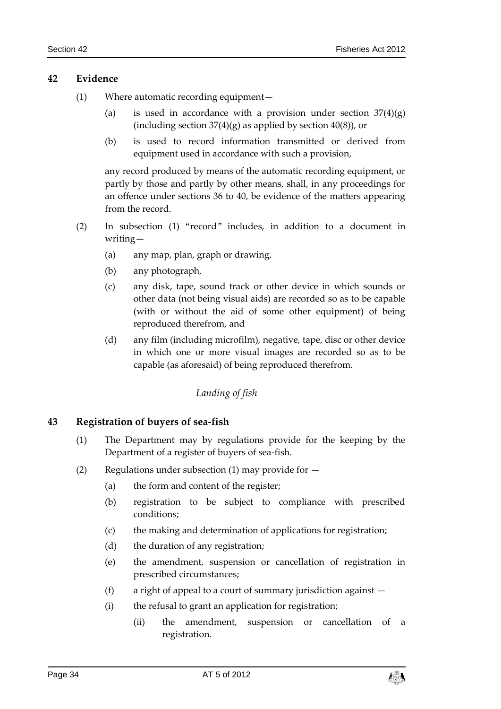#### <span id="page-33-0"></span>**42 Evidence**

- (1) Where automatic recording equipment—
	- (a) is used in accordance with a provision under section  $37(4)(g)$ (including section  $37(4)(g)$  as applied by section  $40(8)$ ), or
	- (b) is used to record information transmitted or derived from equipment used in accordance with such a provision,

any record produced by means of the automatic recording equipment, or partly by those and partly by other means, shall, in any proceedings for an offence under sections 36 to 40, be evidence of the matters appearing from the record.

- (2) In subsection (1) "record" includes, in addition to a document in writing—
	- (a) any map, plan, graph or drawing,
	- (b) any photograph,
	- (c) any disk, tape, sound track or other device in which sounds or other data (not being visual aids) are recorded so as to be capable (with or without the aid of some other equipment) of being reproduced therefrom, and
	- (d) any film (including microfilm), negative, tape, disc or other device in which one or more visual images are recorded so as to be capable (as aforesaid) of being reproduced therefrom.

# *Landing of fish*

# <span id="page-33-2"></span><span id="page-33-1"></span>**43 Registration of buyers of sea-fish**

- (1) The Department may by regulations provide for the keeping by the Department of a register of buyers of sea-fish.
- (2) Regulations under subsection (1) may provide for  $-$ 
	- (a) the form and content of the register;
	- (b) registration to be subject to compliance with prescribed conditions;
	- (c) the making and determination of applications for registration;
	- (d) the duration of any registration;
	- (e) the amendment, suspension or cancellation of registration in prescribed circumstances;
	- (f) a right of appeal to a court of summary jurisdiction against  $-$
	- (i) the refusal to grant an application for registration;
		- (ii) the amendment, suspension or cancellation of a registration.

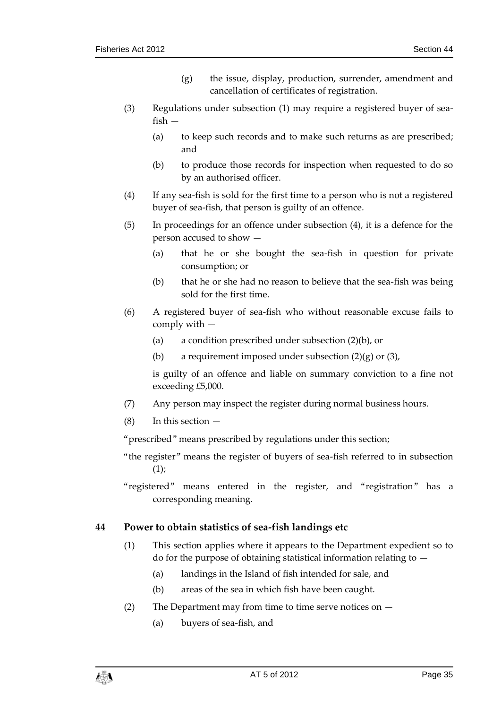- (g) the issue, display, production, surrender, amendment and cancellation of certificates of registration.
- (3) Regulations under subsection (1) may require a registered buyer of seafish —
	- (a) to keep such records and to make such returns as are prescribed; and
	- (b) to produce those records for inspection when requested to do so by an authorised officer.
- (4) If any sea-fish is sold for the first time to a person who is not a registered buyer of sea-fish, that person is guilty of an offence.
- (5) In proceedings for an offence under subsection (4), it is a defence for the person accused to show —
	- (a) that he or she bought the sea-fish in question for private consumption; or
	- (b) that he or she had no reason to believe that the sea-fish was being sold for the first time.
- (6) A registered buyer of sea-fish who without reasonable excuse fails to comply with —
	- (a) a condition prescribed under subsection (2)(b), or
	- (b) a requirement imposed under subsection  $(2)(g)$  or  $(3)$ ,

is guilty of an offence and liable on summary conviction to a fine not exceeding £5,000.

- (7) Any person may inspect the register during normal business hours.
- (8) In this section —

"prescribed" means prescribed by regulations under this section;

"the register" means the register of buyers of sea-fish referred to in subsection  $(1)$ ;

"registered" means entered in the register, and "registration" has a corresponding meaning.

# <span id="page-34-0"></span>**44 Power to obtain statistics of sea-fish landings etc**

- (1) This section applies where it appears to the Department expedient so to do for the purpose of obtaining statistical information relating to  $-$ 
	- (a) landings in the Island of fish intended for sale, and
	- (b) areas of the sea in which fish have been caught.
- (2) The Department may from time to time serve notices on
	- (a) buyers of sea-fish, and

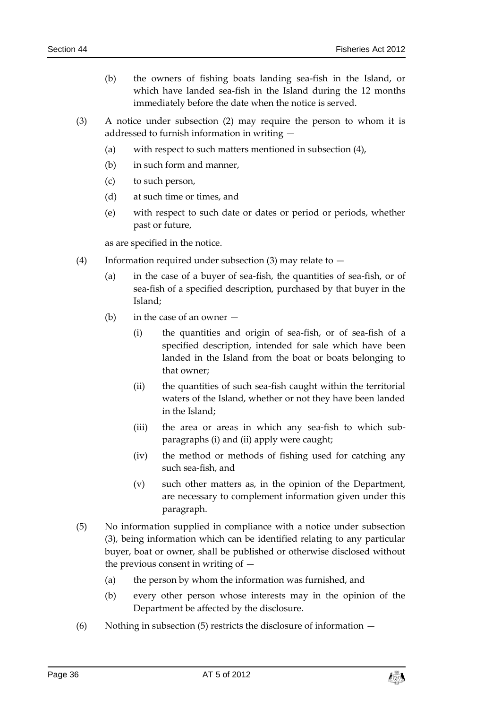- (b) the owners of fishing boats landing sea-fish in the Island, or which have landed sea-fish in the Island during the 12 months immediately before the date when the notice is served.
- (3) A notice under subsection (2) may require the person to whom it is addressed to furnish information in writing —
	- (a) with respect to such matters mentioned in subsection (4),
	- (b) in such form and manner,
	- (c) to such person,
	- (d) at such time or times, and
	- (e) with respect to such date or dates or period or periods, whether past or future,

as are specified in the notice.

- (4) Information required under subsection (3) may relate to
	- (a) in the case of a buyer of sea-fish, the quantities of sea-fish, or of sea-fish of a specified description, purchased by that buyer in the Island;
	- (b) in the case of an owner
		- (i) the quantities and origin of sea-fish, or of sea-fish of a specified description, intended for sale which have been landed in the Island from the boat or boats belonging to that owner;
		- (ii) the quantities of such sea-fish caught within the territorial waters of the Island, whether or not they have been landed in the Island;
		- (iii) the area or areas in which any sea-fish to which subparagraphs (i) and (ii) apply were caught;
		- (iv) the method or methods of fishing used for catching any such sea-fish, and
		- (v) such other matters as, in the opinion of the Department, are necessary to complement information given under this paragraph.
- (5) No information supplied in compliance with a notice under subsection (3), being information which can be identified relating to any particular buyer, boat or owner, shall be published or otherwise disclosed without the previous consent in writing of —
	- (a) the person by whom the information was furnished, and
	- (b) every other person whose interests may in the opinion of the Department be affected by the disclosure.
- (6) Nothing in subsection (5) restricts the disclosure of information  $-$

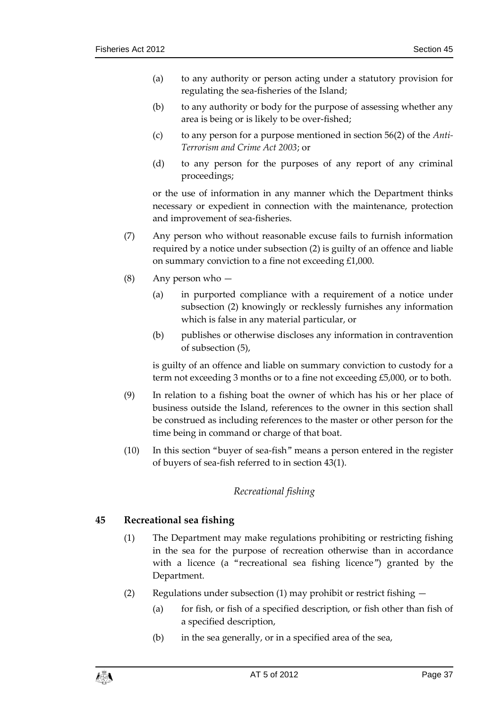- (a) to any authority or person acting under a statutory provision for regulating the sea-fisheries of the Island;
- (b) to any authority or body for the purpose of assessing whether any area is being or is likely to be over-fished;
- (c) to any person for a purpose mentioned in section 56(2) of the *Anti-Terrorism and Crime Act 2003*; or
- (d) to any person for the purposes of any report of any criminal proceedings;

or the use of information in any manner which the Department thinks necessary or expedient in connection with the maintenance, protection and improvement of sea-fisheries.

- (7) Any person who without reasonable excuse fails to furnish information required by a notice under subsection (2) is guilty of an offence and liable on summary conviction to a fine not exceeding £1,000.
- (8) Any person who
	- (a) in purported compliance with a requirement of a notice under subsection (2) knowingly or recklessly furnishes any information which is false in any material particular, or
	- (b) publishes or otherwise discloses any information in contravention of subsection (5),

is guilty of an offence and liable on summary conviction to custody for a term not exceeding 3 months or to a fine not exceeding £5,000, or to both.

- (9) In relation to a fishing boat the owner of which has his or her place of business outside the Island, references to the owner in this section shall be construed as including references to the master or other person for the time being in command or charge of that boat.
- <span id="page-36-0"></span>(10) In this section "buyer of sea-fish" means a person entered in the register of buyers of sea-fish referred to in section 43(1).

# *Recreational fishing*

# <span id="page-36-1"></span>**45 Recreational sea fishing**

- (1) The Department may make regulations prohibiting or restricting fishing in the sea for the purpose of recreation otherwise than in accordance with a licence (a "recreational sea fishing licence") granted by the Department.
- (2) Regulations under subsection (1) may prohibit or restrict fishing
	- (a) for fish, or fish of a specified description, or fish other than fish of a specified description,
	- (b) in the sea generally, or in a specified area of the sea,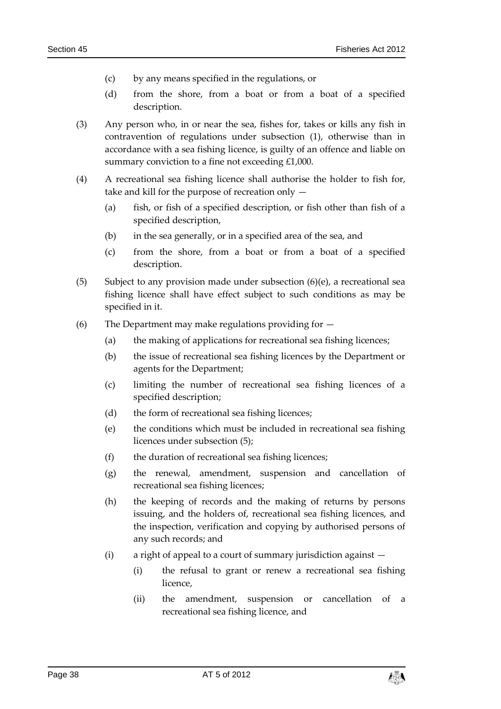- (c) by any means specified in the regulations, or
- (d) from the shore, from a boat or from a boat of a specified description.
- (3) Any person who, in or near the sea, fishes for, takes or kills any fish in contravention of regulations under subsection (1), otherwise than in accordance with a sea fishing licence, is guilty of an offence and liable on summary conviction to a fine not exceeding £1,000.
- (4) A recreational sea fishing licence shall authorise the holder to fish for, take and kill for the purpose of recreation only —
	- (a) fish, or fish of a specified description, or fish other than fish of a specified description,
	- (b) in the sea generally, or in a specified area of the sea, and
	- (c) from the shore, from a boat or from a boat of a specified description.
- (5) Subject to any provision made under subsection  $(6)(e)$ , a recreational sea fishing licence shall have effect subject to such conditions as may be specified in it.
- (6) The Department may make regulations providing for
	- (a) the making of applications for recreational sea fishing licences;
	- (b) the issue of recreational sea fishing licences by the Department or agents for the Department;
	- (c) limiting the number of recreational sea fishing licences of a specified description;
	- (d) the form of recreational sea fishing licences;
	- (e) the conditions which must be included in recreational sea fishing licences under subsection (5);
	- (f) the duration of recreational sea fishing licences;
	- (g) the renewal, amendment, suspension and cancellation of recreational sea fishing licences;
	- (h) the keeping of records and the making of returns by persons issuing, and the holders of, recreational sea fishing licences, and the inspection, verification and copying by authorised persons of any such records; and
	- (i) a right of appeal to a court of summary jurisdiction against
		- (i) the refusal to grant or renew a recreational sea fishing licence,
		- (ii) the amendment, suspension or cancellation of a recreational sea fishing licence, and

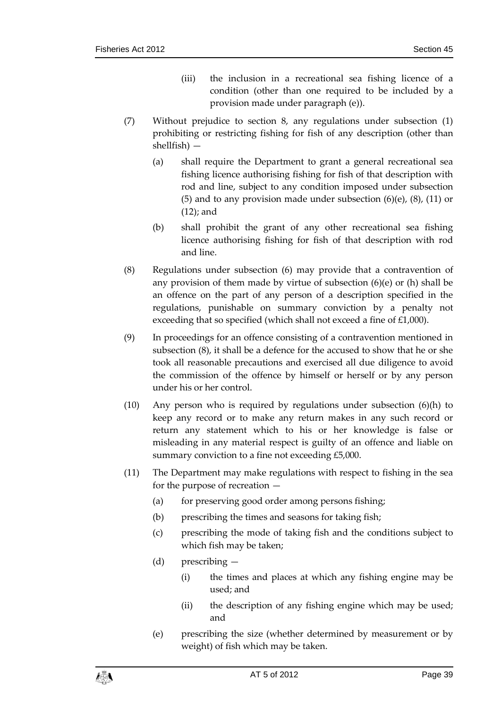- (iii) the inclusion in a recreational sea fishing licence of a condition (other than one required to be included by a provision made under paragraph (e)).
- (7) Without prejudice to section 8, any regulations under subsection (1) prohibiting or restricting fishing for fish of any description (other than shellfish) —
	- (a) shall require the Department to grant a general recreational sea fishing licence authorising fishing for fish of that description with rod and line, subject to any condition imposed under subsection (5) and to any provision made under subsection  $(6)(e)$ ,  $(8)$ ,  $(11)$  or (12); and
	- (b) shall prohibit the grant of any other recreational sea fishing licence authorising fishing for fish of that description with rod and line.
- (8) Regulations under subsection (6) may provide that a contravention of any provision of them made by virtue of subsection (6)(e) or (h) shall be an offence on the part of any person of a description specified in the regulations, punishable on summary conviction by a penalty not exceeding that so specified (which shall not exceed a fine of £1,000).
- (9) In proceedings for an offence consisting of a contravention mentioned in subsection (8), it shall be a defence for the accused to show that he or she took all reasonable precautions and exercised all due diligence to avoid the commission of the offence by himself or herself or by any person under his or her control.
- (10) Any person who is required by regulations under subsection (6)(h) to keep any record or to make any return makes in any such record or return any statement which to his or her knowledge is false or misleading in any material respect is guilty of an offence and liable on summary conviction to a fine not exceeding £5,000.
- (11) The Department may make regulations with respect to fishing in the sea for the purpose of recreation —
	- (a) for preserving good order among persons fishing;
	- (b) prescribing the times and seasons for taking fish;
	- (c) prescribing the mode of taking fish and the conditions subject to which fish may be taken;
	- (d) prescribing
		- (i) the times and places at which any fishing engine may be used; and
		- (ii) the description of any fishing engine which may be used; and
	- (e) prescribing the size (whether determined by measurement or by weight) of fish which may be taken.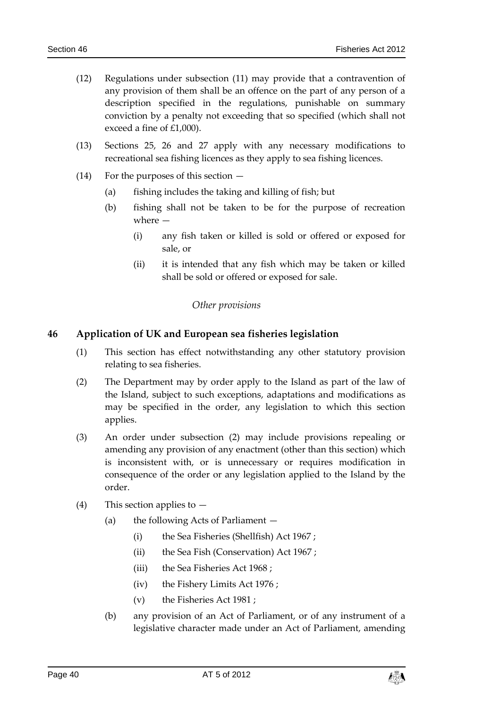- (12) Regulations under subsection (11) may provide that a contravention of any provision of them shall be an offence on the part of any person of a description specified in the regulations, punishable on summary conviction by a penalty not exceeding that so specified (which shall not exceed a fine of £1,000).
- (13) Sections 25, 26 and 27 apply with any necessary modifications to recreational sea fishing licences as they apply to sea fishing licences.
- (14) For the purposes of this section
	- (a) fishing includes the taking and killing of fish; but
	- (b) fishing shall not be taken to be for the purpose of recreation where —
		- (i) any fish taken or killed is sold or offered or exposed for sale, or
		- (ii) it is intended that any fish which may be taken or killed shall be sold or offered or exposed for sale.

# *Other provisions*

# <span id="page-39-1"></span><span id="page-39-0"></span>**46 Application of UK and European sea fisheries legislation**

- (1) This section has effect notwithstanding any other statutory provision relating to sea fisheries.
- (2) The Department may by order apply to the Island as part of the law of the Island, subject to such exceptions, adaptations and modifications as may be specified in the order, any legislation to which this section applies.
- (3) An order under subsection (2) may include provisions repealing or amending any provision of any enactment (other than this section) which is inconsistent with, or is unnecessary or requires modification in consequence of the order or any legislation applied to the Island by the order.
- (4) This section applies to
	- (a) the following Acts of Parliament
		- (i) the Sea Fisheries (Shellfish) Act 1967 ;
		- (ii) the Sea Fish (Conservation) Act 1967 ;
		- (iii) the Sea Fisheries Act 1968 ;
		- (iv) the Fishery Limits Act 1976 ;
		- (v) the Fisheries Act 1981 ;
	- (b) any provision of an Act of Parliament, or of any instrument of a legislative character made under an Act of Parliament, amending

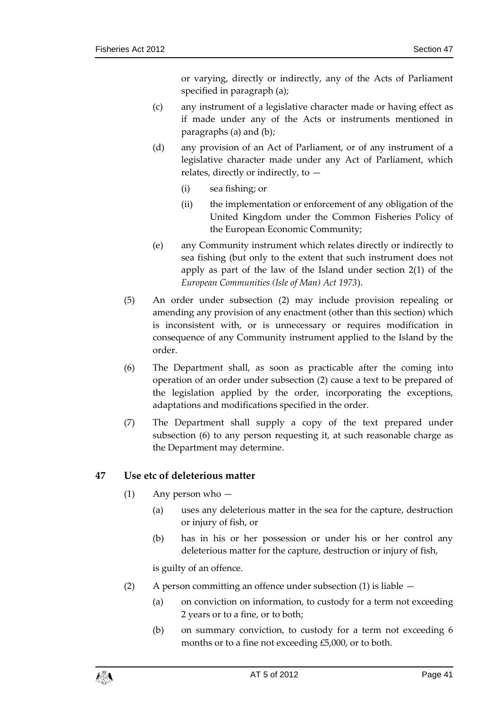or varying, directly or indirectly, any of the Acts of Parliament specified in paragraph (a);

- (c) any instrument of a legislative character made or having effect as if made under any of the Acts or instruments mentioned in paragraphs (a) and (b);
- (d) any provision of an Act of Parliament, or of any instrument of a legislative character made under any Act of Parliament, which relates, directly or indirectly, to  $-$ 
	- (i) sea fishing; or
	- (ii) the implementation or enforcement of any obligation of the United Kingdom under the Common Fisheries Policy of the European Economic Community;
- (e) any Community instrument which relates directly or indirectly to sea fishing (but only to the extent that such instrument does not apply as part of the law of the Island under section 2(1) of the *European Communities (Isle of Man) Act 1973*).
- (5) An order under subsection (2) may include provision repealing or amending any provision of any enactment (other than this section) which is inconsistent with, or is unnecessary or requires modification in consequence of any Community instrument applied to the Island by the order.
- (6) The Department shall, as soon as practicable after the coming into operation of an order under subsection (2) cause a text to be prepared of the legislation applied by the order, incorporating the exceptions, adaptations and modifications specified in the order.
- (7) The Department shall supply a copy of the text prepared under subsection (6) to any person requesting it, at such reasonable charge as the Department may determine.

# <span id="page-40-0"></span>**47 Use etc of deleterious matter**

- (1) Any person who
	- (a) uses any deleterious matter in the sea for the capture, destruction or injury of fish, or
	- (b) has in his or her possession or under his or her control any deleterious matter for the capture, destruction or injury of fish,

is guilty of an offence.

- (2) A person committing an offence under subsection (1) is liable
	- (a) on conviction on information, to custody for a term not exceeding 2 years or to a fine, or to both;
	- (b) on summary conviction, to custody for a term not exceeding 6 months or to a fine not exceeding £5,000, or to both.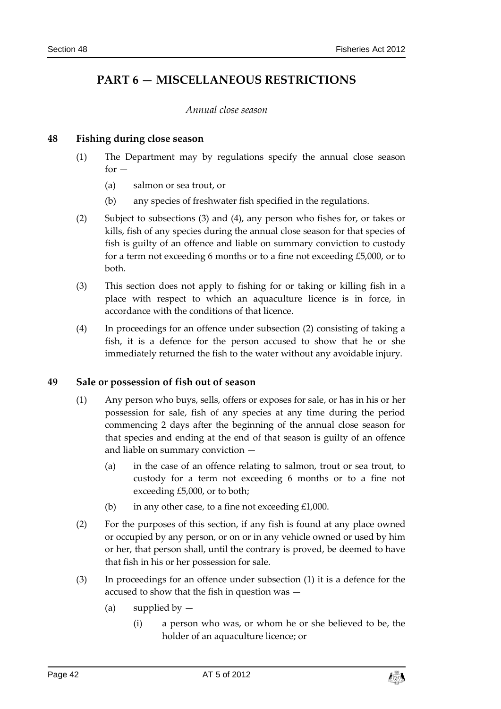# <span id="page-41-0"></span>**PART 6 — MISCELLANEOUS RESTRICTIONS**

#### *Annual close season*

# <span id="page-41-2"></span><span id="page-41-1"></span>**48 Fishing during close season**

- (1) The Department may by regulations specify the annual close season  $for -$ 
	- (a) salmon or sea trout, or
	- (b) any species of freshwater fish specified in the regulations.
- (2) Subject to subsections (3) and (4), any person who fishes for, or takes or kills, fish of any species during the annual close season for that species of fish is guilty of an offence and liable on summary conviction to custody for a term not exceeding 6 months or to a fine not exceeding £5,000, or to both.
- (3) This section does not apply to fishing for or taking or killing fish in a place with respect to which an aquaculture licence is in force, in accordance with the conditions of that licence.
- (4) In proceedings for an offence under subsection (2) consisting of taking a fish, it is a defence for the person accused to show that he or she immediately returned the fish to the water without any avoidable injury.

#### <span id="page-41-3"></span>**49 Sale or possession of fish out of season**

- (1) Any person who buys, sells, offers or exposes for sale, or has in his or her possession for sale, fish of any species at any time during the period commencing 2 days after the beginning of the annual close season for that species and ending at the end of that season is guilty of an offence and liable on summary conviction —
	- (a) in the case of an offence relating to salmon, trout or sea trout, to custody for a term not exceeding 6 months or to a fine not exceeding £5,000, or to both;
	- (b) in any other case, to a fine not exceeding  $£1,000$ .
- (2) For the purposes of this section, if any fish is found at any place owned or occupied by any person, or on or in any vehicle owned or used by him or her, that person shall, until the contrary is proved, be deemed to have that fish in his or her possession for sale.
- (3) In proceedings for an offence under subsection (1) it is a defence for the accused to show that the fish in question was —
	- (a) supplied by  $-$ 
		- (i) a person who was, or whom he or she believed to be, the holder of an aquaculture licence; or

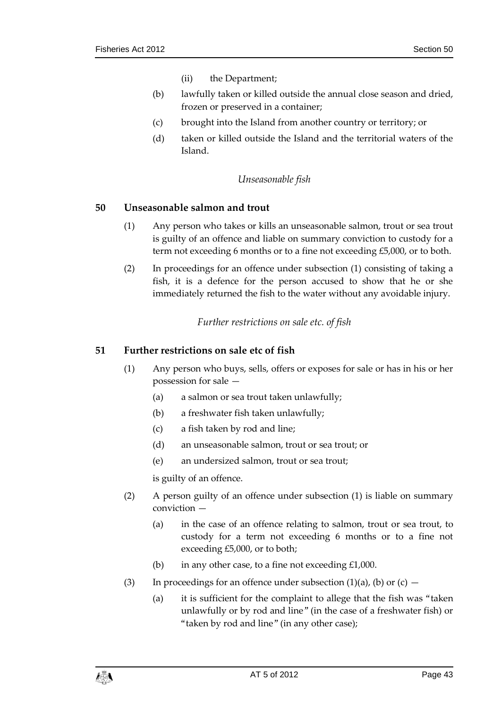- (ii) the Department;
- (b) lawfully taken or killed outside the annual close season and dried, frozen or preserved in a container;
- (c) brought into the Island from another country or territory; or
- (d) taken or killed outside the Island and the territorial waters of the Island.

#### *Unseasonable fish*

#### <span id="page-42-1"></span><span id="page-42-0"></span>**50 Unseasonable salmon and trout**

- (1) Any person who takes or kills an unseasonable salmon, trout or sea trout is guilty of an offence and liable on summary conviction to custody for a term not exceeding 6 months or to a fine not exceeding £5,000, or to both.
- (2) In proceedings for an offence under subsection (1) consisting of taking a fish, it is a defence for the person accused to show that he or she immediately returned the fish to the water without any avoidable injury.

*Further restrictions on sale etc. of fish*

### <span id="page-42-3"></span><span id="page-42-2"></span>**51 Further restrictions on sale etc of fish**

- (1) Any person who buys, sells, offers or exposes for sale or has in his or her possession for sale —
	- (a) a salmon or sea trout taken unlawfully;
	- (b) a freshwater fish taken unlawfully;
	- (c) a fish taken by rod and line;
	- (d) an unseasonable salmon, trout or sea trout; or
	- (e) an undersized salmon, trout or sea trout;

is guilty of an offence.

- (2) A person guilty of an offence under subsection (1) is liable on summary conviction —
	- (a) in the case of an offence relating to salmon, trout or sea trout, to custody for a term not exceeding 6 months or to a fine not exceeding £5,000, or to both;
	- (b) in any other case, to a fine not exceeding £1,000.
- (3) In proceedings for an offence under subsection  $(1)(a)$ ,  $(b)$  or  $(c)$ 
	- (a) it is sufficient for the complaint to allege that the fish was "taken unlawfully or by rod and line" (in the case of a freshwater fish) or "taken by rod and line" (in any other case);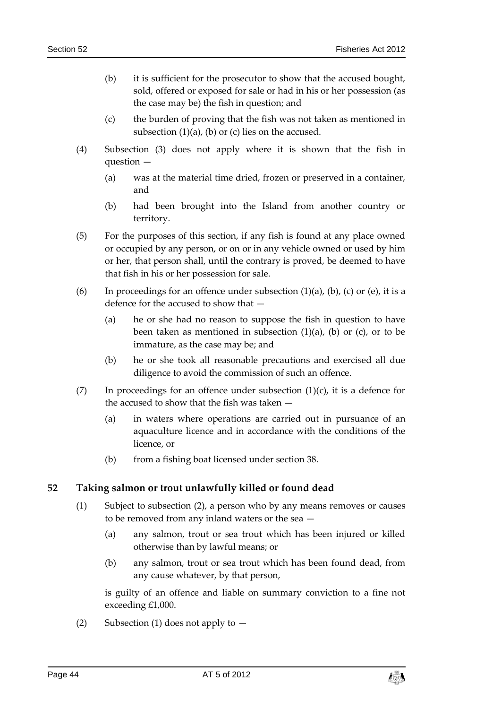- (b) it is sufficient for the prosecutor to show that the accused bought, sold, offered or exposed for sale or had in his or her possession (as the case may be) the fish in question; and
- (c) the burden of proving that the fish was not taken as mentioned in subsection  $(1)(a)$ ,  $(b)$  or  $(c)$  lies on the accused.
- (4) Subsection (3) does not apply where it is shown that the fish in question —
	- (a) was at the material time dried, frozen or preserved in a container, and
	- (b) had been brought into the Island from another country or territory.
- (5) For the purposes of this section, if any fish is found at any place owned or occupied by any person, or on or in any vehicle owned or used by him or her, that person shall, until the contrary is proved, be deemed to have that fish in his or her possession for sale.
- (6) In proceedings for an offence under subsection  $(1)(a)$ ,  $(b)$ ,  $(c)$  or  $(e)$ , it is a defence for the accused to show that —
	- (a) he or she had no reason to suppose the fish in question to have been taken as mentioned in subsection  $(1)(a)$ ,  $(b)$  or  $(c)$ , or to be immature, as the case may be; and
	- (b) he or she took all reasonable precautions and exercised all due diligence to avoid the commission of such an offence.
- (7) In proceedings for an offence under subsection  $(1)(c)$ , it is a defence for the accused to show that the fish was taken —
	- (a) in waters where operations are carried out in pursuance of an aquaculture licence and in accordance with the conditions of the licence, or
	- (b) from a fishing boat licensed under section 38.

# <span id="page-43-0"></span>**52 Taking salmon or trout unlawfully killed or found dead**

- (1) Subject to subsection (2), a person who by any means removes or causes to be removed from any inland waters or the sea —
	- (a) any salmon, trout or sea trout which has been injured or killed otherwise than by lawful means; or
	- (b) any salmon, trout or sea trout which has been found dead, from any cause whatever, by that person,

is guilty of an offence and liable on summary conviction to a fine not exceeding £1,000.

(2) Subsection (1) does not apply to  $-$ 

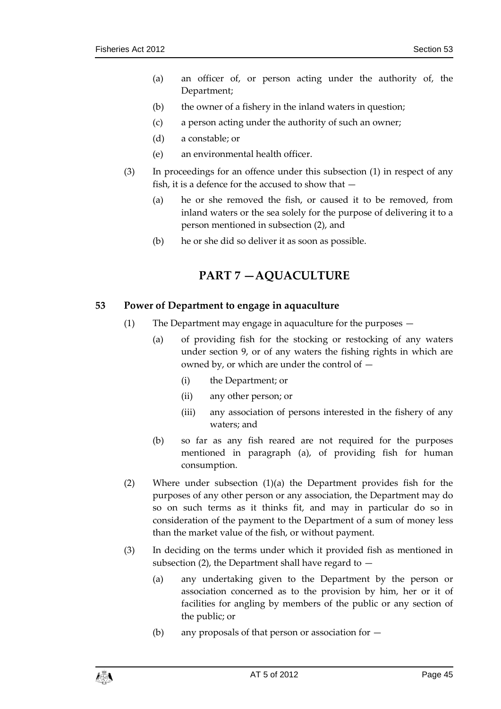- (a) an officer of, or person acting under the authority of, the Department;
- (b) the owner of a fishery in the inland waters in question;
- (c) a person acting under the authority of such an owner;
- (d) a constable; or
- (e) an environmental health officer.
- (3) In proceedings for an offence under this subsection (1) in respect of any fish, it is a defence for the accused to show that —
	- (a) he or she removed the fish, or caused it to be removed, from inland waters or the sea solely for the purpose of delivering it to a person mentioned in subsection (2), and
	- (b) he or she did so deliver it as soon as possible.

# **PART 7 —AQUACULTURE**

#### <span id="page-44-1"></span><span id="page-44-0"></span>**53 Power of Department to engage in aquaculture**

- (1) The Department may engage in aquaculture for the purposes
	- (a) of providing fish for the stocking or restocking of any waters under section 9, or of any waters the fishing rights in which are owned by, or which are under the control of —
		- (i) the Department; or
		- (ii) any other person; or
		- (iii) any association of persons interested in the fishery of any waters; and
	- (b) so far as any fish reared are not required for the purposes mentioned in paragraph (a), of providing fish for human consumption.
- (2) Where under subsection (1)(a) the Department provides fish for the purposes of any other person or any association, the Department may do so on such terms as it thinks fit, and may in particular do so in consideration of the payment to the Department of a sum of money less than the market value of the fish, or without payment.
- (3) In deciding on the terms under which it provided fish as mentioned in subsection (2), the Department shall have regard to  $-$ 
	- (a) any undertaking given to the Department by the person or association concerned as to the provision by him, her or it of facilities for angling by members of the public or any section of the public; or
	- (b) any proposals of that person or association for —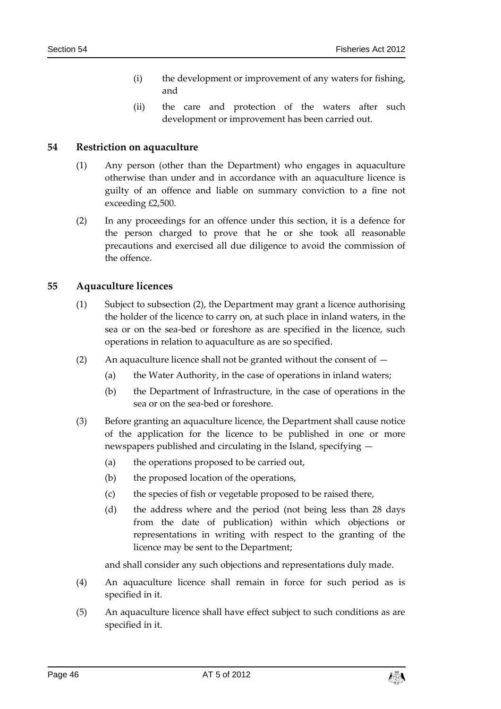- (i) the development or improvement of any waters for fishing, and
- (ii) the care and protection of the waters after such development or improvement has been carried out.

# <span id="page-45-0"></span>**54 Restriction on aquaculture**

- (1) Any person (other than the Department) who engages in aquaculture otherwise than under and in accordance with an aquaculture licence is guilty of an offence and liable on summary conviction to a fine not exceeding £2,500.
- (2) In any proceedings for an offence under this section, it is a defence for the person charged to prove that he or she took all reasonable precautions and exercised all due diligence to avoid the commission of the offence.

#### <span id="page-45-1"></span>**55 Aquaculture licences**

- (1) Subject to subsection (2), the Department may grant a licence authorising the holder of the licence to carry on, at such place in inland waters, in the sea or on the sea-bed or foreshore as are specified in the licence, such operations in relation to aquaculture as are so specified.
- (2) An aquaculture licence shall not be granted without the consent of  $-$ 
	- (a) the Water Authority, in the case of operations in inland waters;
	- (b) the Department of Infrastructure, in the case of operations in the sea or on the sea-bed or foreshore.
- (3) Before granting an aquaculture licence, the Department shall cause notice of the application for the licence to be published in one or more newspapers published and circulating in the Island, specifying —
	- (a) the operations proposed to be carried out,
	- (b) the proposed location of the operations,
	- (c) the species of fish or vegetable proposed to be raised there,
	- (d) the address where and the period (not being less than 28 days from the date of publication) within which objections or representations in writing with respect to the granting of the licence may be sent to the Department;

and shall consider any such objections and representations duly made.

- (4) An aquaculture licence shall remain in force for such period as is specified in it.
- (5) An aquaculture licence shall have effect subject to such conditions as are specified in it.

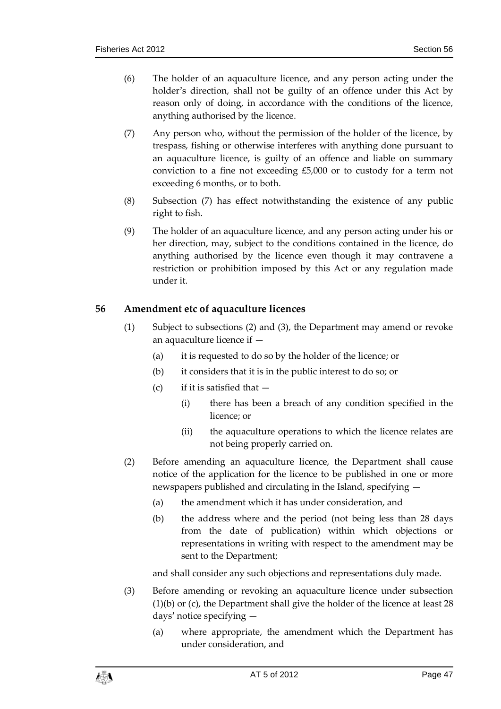- (6) The holder of an aquaculture licence, and any person acting under the holder's direction, shall not be guilty of an offence under this Act by reason only of doing, in accordance with the conditions of the licence, anything authorised by the licence.
- (7) Any person who, without the permission of the holder of the licence, by trespass, fishing or otherwise interferes with anything done pursuant to an aquaculture licence, is guilty of an offence and liable on summary conviction to a fine not exceeding £5,000 or to custody for a term not exceeding 6 months, or to both.
- (8) Subsection (7) has effect notwithstanding the existence of any public right to fish.
- (9) The holder of an aquaculture licence, and any person acting under his or her direction, may, subject to the conditions contained in the licence, do anything authorised by the licence even though it may contravene a restriction or prohibition imposed by this Act or any regulation made under it.

# <span id="page-46-0"></span>**56 Amendment etc of aquaculture licences**

- (1) Subject to subsections (2) and (3), the Department may amend or revoke an aquaculture licence if —
	- (a) it is requested to do so by the holder of the licence; or
	- (b) it considers that it is in the public interest to do so; or
	- (c) if it is satisfied that  $-$ 
		- (i) there has been a breach of any condition specified in the licence; or
		- (ii) the aquaculture operations to which the licence relates are not being properly carried on.
- (2) Before amending an aquaculture licence, the Department shall cause notice of the application for the licence to be published in one or more newspapers published and circulating in the Island, specifying —
	- (a) the amendment which it has under consideration, and
	- (b) the address where and the period (not being less than 28 days from the date of publication) within which objections or representations in writing with respect to the amendment may be sent to the Department;

and shall consider any such objections and representations duly made.

- (3) Before amending or revoking an aquaculture licence under subsection (1)(b) or (c), the Department shall give the holder of the licence at least 28 days' notice specifying —
	- (a) where appropriate, the amendment which the Department has under consideration, and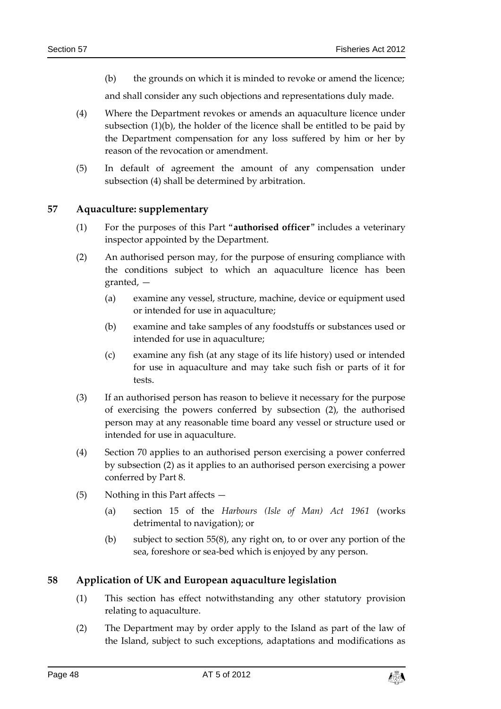(b) the grounds on which it is minded to revoke or amend the licence;

and shall consider any such objections and representations duly made.

- (4) Where the Department revokes or amends an aquaculture licence under subsection (1)(b), the holder of the licence shall be entitled to be paid by the Department compensation for any loss suffered by him or her by reason of the revocation or amendment.
- (5) In default of agreement the amount of any compensation under subsection (4) shall be determined by arbitration.

#### <span id="page-47-0"></span>**57 Aquaculture: supplementary**

- (1) For the purposes of this Part "**authorised officer**" includes a veterinary inspector appointed by the Department.
- (2) An authorised person may, for the purpose of ensuring compliance with the conditions subject to which an aquaculture licence has been granted, —
	- (a) examine any vessel, structure, machine, device or equipment used or intended for use in aquaculture;
	- (b) examine and take samples of any foodstuffs or substances used or intended for use in aquaculture;
	- (c) examine any fish (at any stage of its life history) used or intended for use in aquaculture and may take such fish or parts of it for tests.
- (3) If an authorised person has reason to believe it necessary for the purpose of exercising the powers conferred by subsection (2), the authorised person may at any reasonable time board any vessel or structure used or intended for use in aquaculture.
- (4) Section 70 applies to an authorised person exercising a power conferred by subsection (2) as it applies to an authorised person exercising a power conferred by Part 8.
- (5) Nothing in this Part affects
	- (a) section 15 of the *Harbours (Isle of Man) Act 1961* (works detrimental to navigation); or
	- (b) subject to section 55(8), any right on, to or over any portion of the sea, foreshore or sea-bed which is enjoyed by any person.

# <span id="page-47-1"></span>**58 Application of UK and European aquaculture legislation**

- (1) This section has effect notwithstanding any other statutory provision relating to aquaculture.
- (2) The Department may by order apply to the Island as part of the law of the Island, subject to such exceptions, adaptations and modifications as

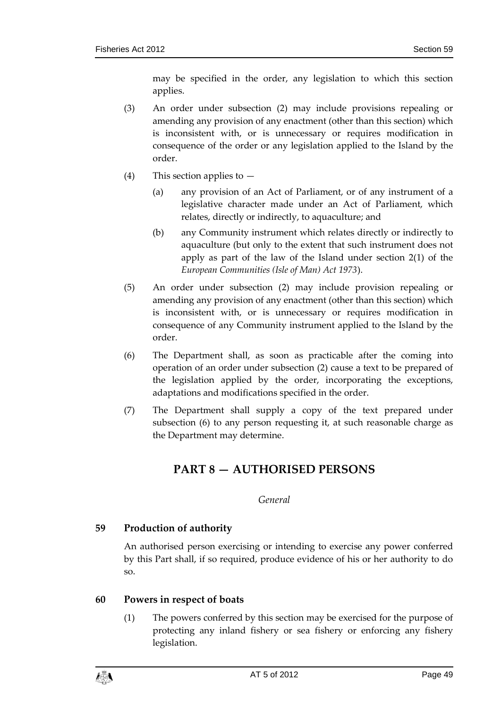may be specified in the order, any legislation to which this section applies.

- (3) An order under subsection (2) may include provisions repealing or amending any provision of any enactment (other than this section) which is inconsistent with, or is unnecessary or requires modification in consequence of the order or any legislation applied to the Island by the order.
- (4) This section applies to
	- (a) any provision of an Act of Parliament, or of any instrument of a legislative character made under an Act of Parliament, which relates, directly or indirectly, to aquaculture; and
	- (b) any Community instrument which relates directly or indirectly to aquaculture (but only to the extent that such instrument does not apply as part of the law of the Island under section 2(1) of the *European Communities (Isle of Man) Act 1973*).
- (5) An order under subsection (2) may include provision repealing or amending any provision of any enactment (other than this section) which is inconsistent with, or is unnecessary or requires modification in consequence of any Community instrument applied to the Island by the order.
- (6) The Department shall, as soon as practicable after the coming into operation of an order under subsection (2) cause a text to be prepared of the legislation applied by the order, incorporating the exceptions, adaptations and modifications specified in the order.
- <span id="page-48-0"></span>(7) The Department shall supply a copy of the text prepared under subsection (6) to any person requesting it, at such reasonable charge as the Department may determine.

# **PART 8 — AUTHORISED PERSONS**

# *General*

# <span id="page-48-2"></span><span id="page-48-1"></span>**59 Production of authority**

An authorised person exercising or intending to exercise any power conferred by this Part shall, if so required, produce evidence of his or her authority to do so.

# <span id="page-48-3"></span>**60 Powers in respect of boats**

(1) The powers conferred by this section may be exercised for the purpose of protecting any inland fishery or sea fishery or enforcing any fishery legislation.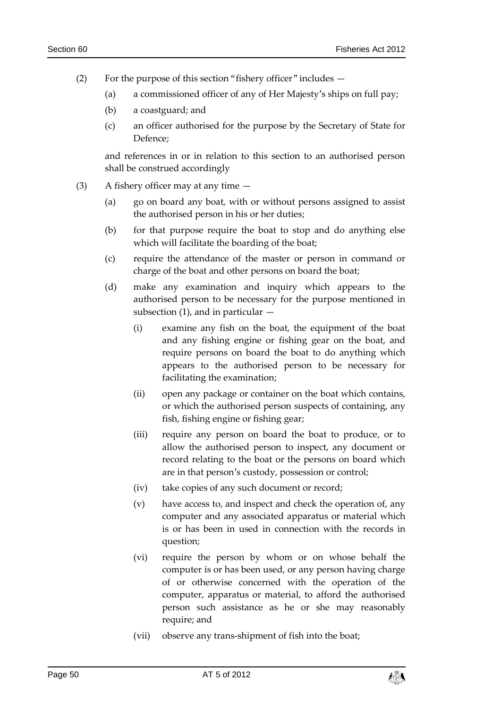- (2) For the purpose of this section "fishery officer" includes
	- (a) a commissioned officer of any of Her Majesty's ships on full pay;
	- (b) a coastguard; and
	- (c) an officer authorised for the purpose by the Secretary of State for Defence;

and references in or in relation to this section to an authorised person shall be construed accordingly

- (3) A fishery officer may at any time
	- (a) go on board any boat, with or without persons assigned to assist the authorised person in his or her duties;
	- (b) for that purpose require the boat to stop and do anything else which will facilitate the boarding of the boat;
	- (c) require the attendance of the master or person in command or charge of the boat and other persons on board the boat;
	- (d) make any examination and inquiry which appears to the authorised person to be necessary for the purpose mentioned in subsection  $(1)$ , and in particular  $-$ 
		- (i) examine any fish on the boat, the equipment of the boat and any fishing engine or fishing gear on the boat, and require persons on board the boat to do anything which appears to the authorised person to be necessary for facilitating the examination;
		- (ii) open any package or container on the boat which contains, or which the authorised person suspects of containing, any fish, fishing engine or fishing gear;
		- (iii) require any person on board the boat to produce, or to allow the authorised person to inspect, any document or record relating to the boat or the persons on board which are in that person's custody, possession or control;
		- (iv) take copies of any such document or record;
		- (v) have access to, and inspect and check the operation of, any computer and any associated apparatus or material which is or has been in used in connection with the records in question;
		- (vi) require the person by whom or on whose behalf the computer is or has been used, or any person having charge of or otherwise concerned with the operation of the computer, apparatus or material, to afford the authorised person such assistance as he or she may reasonably require; and
		- (vii) observe any trans-shipment of fish into the boat;

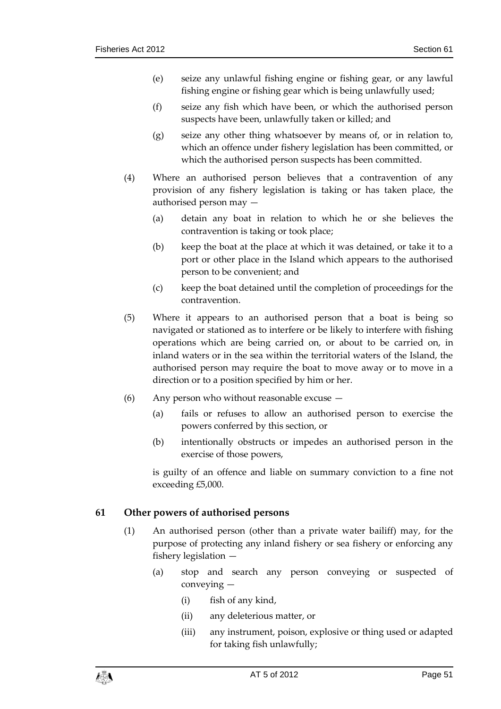- (e) seize any unlawful fishing engine or fishing gear, or any lawful fishing engine or fishing gear which is being unlawfully used;
- (f) seize any fish which have been, or which the authorised person suspects have been, unlawfully taken or killed; and
- (g) seize any other thing whatsoever by means of, or in relation to, which an offence under fishery legislation has been committed, or which the authorised person suspects has been committed.
- (4) Where an authorised person believes that a contravention of any provision of any fishery legislation is taking or has taken place, the authorised person may —
	- (a) detain any boat in relation to which he or she believes the contravention is taking or took place;
	- (b) keep the boat at the place at which it was detained, or take it to a port or other place in the Island which appears to the authorised person to be convenient; and
	- (c) keep the boat detained until the completion of proceedings for the contravention.
- (5) Where it appears to an authorised person that a boat is being so navigated or stationed as to interfere or be likely to interfere with fishing operations which are being carried on, or about to be carried on, in inland waters or in the sea within the territorial waters of the Island, the authorised person may require the boat to move away or to move in a direction or to a position specified by him or her.
- (6) Any person who without reasonable excuse
	- (a) fails or refuses to allow an authorised person to exercise the powers conferred by this section, or
	- (b) intentionally obstructs or impedes an authorised person in the exercise of those powers,

is guilty of an offence and liable on summary conviction to a fine not exceeding £5,000.

# <span id="page-50-0"></span>**61 Other powers of authorised persons**

- (1) An authorised person (other than a private water bailiff) may, for the purpose of protecting any inland fishery or sea fishery or enforcing any fishery legislation —
	- (a) stop and search any person conveying or suspected of conveying —
		- (i) fish of any kind,
		- (ii) any deleterious matter, or
		- (iii) any instrument, poison, explosive or thing used or adapted for taking fish unlawfully;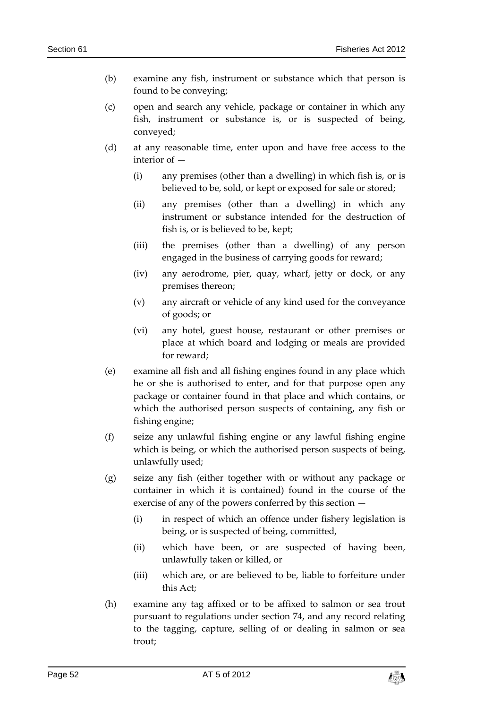- (b) examine any fish, instrument or substance which that person is found to be conveying;
- (c) open and search any vehicle, package or container in which any fish, instrument or substance is, or is suspected of being, conveyed;
- (d) at any reasonable time, enter upon and have free access to the interior of —
	- (i) any premises (other than a dwelling) in which fish is, or is believed to be, sold, or kept or exposed for sale or stored;
	- (ii) any premises (other than a dwelling) in which any instrument or substance intended for the destruction of fish is, or is believed to be, kept;
	- (iii) the premises (other than a dwelling) of any person engaged in the business of carrying goods for reward;
	- (iv) any aerodrome, pier, quay, wharf, jetty or dock, or any premises thereon;
	- (v) any aircraft or vehicle of any kind used for the conveyance of goods; or
	- (vi) any hotel, guest house, restaurant or other premises or place at which board and lodging or meals are provided for reward;
- (e) examine all fish and all fishing engines found in any place which he or she is authorised to enter, and for that purpose open any package or container found in that place and which contains, or which the authorised person suspects of containing, any fish or fishing engine;
- (f) seize any unlawful fishing engine or any lawful fishing engine which is being, or which the authorised person suspects of being, unlawfully used;
- (g) seize any fish (either together with or without any package or container in which it is contained) found in the course of the exercise of any of the powers conferred by this section —
	- (i) in respect of which an offence under fishery legislation is being, or is suspected of being, committed,
	- (ii) which have been, or are suspected of having been, unlawfully taken or killed, or
	- (iii) which are, or are believed to be, liable to forfeiture under this Act;
- (h) examine any tag affixed or to be affixed to salmon or sea trout pursuant to regulations under section 74, and any record relating to the tagging, capture, selling of or dealing in salmon or sea trout;

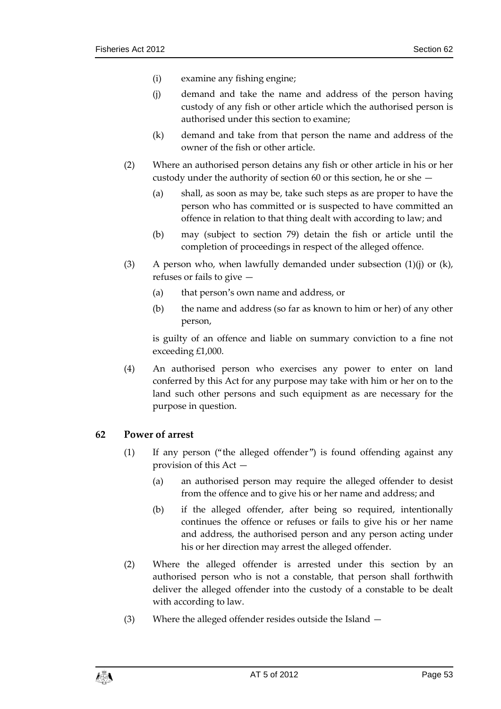- (i) examine any fishing engine;
- (j) demand and take the name and address of the person having custody of any fish or other article which the authorised person is authorised under this section to examine;
- (k) demand and take from that person the name and address of the owner of the fish or other article.
- (2) Where an authorised person detains any fish or other article in his or her custody under the authority of section 60 or this section, he or she —
	- (a) shall, as soon as may be, take such steps as are proper to have the person who has committed or is suspected to have committed an offence in relation to that thing dealt with according to law; and
	- (b) may (subject to section 79) detain the fish or article until the completion of proceedings in respect of the alleged offence.
- (3) A person who, when lawfully demanded under subsection  $(1)(j)$  or  $(k)$ , refuses or fails to give —
	- (a) that person's own name and address, or
	- (b) the name and address (so far as known to him or her) of any other person,

is guilty of an offence and liable on summary conviction to a fine not exceeding £1,000.

(4) An authorised person who exercises any power to enter on land conferred by this Act for any purpose may take with him or her on to the land such other persons and such equipment as are necessary for the purpose in question.

# <span id="page-52-0"></span>**62 Power of arrest**

- (1) If any person ("the alleged offender") is found offending against any provision of this Act —
	- (a) an authorised person may require the alleged offender to desist from the offence and to give his or her name and address; and
	- (b) if the alleged offender, after being so required, intentionally continues the offence or refuses or fails to give his or her name and address, the authorised person and any person acting under his or her direction may arrest the alleged offender.
- (2) Where the alleged offender is arrested under this section by an authorised person who is not a constable, that person shall forthwith deliver the alleged offender into the custody of a constable to be dealt with according to law.
- (3) Where the alleged offender resides outside the Island —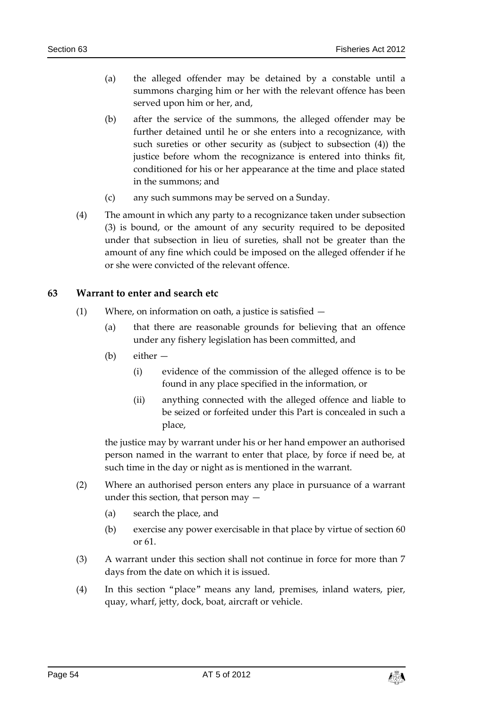- (a) the alleged offender may be detained by a constable until a summons charging him or her with the relevant offence has been served upon him or her, and,
- (b) after the service of the summons, the alleged offender may be further detained until he or she enters into a recognizance, with such sureties or other security as (subject to subsection (4)) the justice before whom the recognizance is entered into thinks fit, conditioned for his or her appearance at the time and place stated in the summons; and
- (c) any such summons may be served on a Sunday.
- (4) The amount in which any party to a recognizance taken under subsection (3) is bound, or the amount of any security required to be deposited under that subsection in lieu of sureties, shall not be greater than the amount of any fine which could be imposed on the alleged offender if he or she were convicted of the relevant offence.

#### <span id="page-53-0"></span>**63 Warrant to enter and search etc**

- (1) Where, on information on oath, a justice is satisfied
	- (a) that there are reasonable grounds for believing that an offence under any fishery legislation has been committed, and
	- (b) either
		- (i) evidence of the commission of the alleged offence is to be found in any place specified in the information, or
		- (ii) anything connected with the alleged offence and liable to be seized or forfeited under this Part is concealed in such a place,

the justice may by warrant under his or her hand empower an authorised person named in the warrant to enter that place, by force if need be, at such time in the day or night as is mentioned in the warrant.

- (2) Where an authorised person enters any place in pursuance of a warrant under this section, that person may —
	- (a) search the place, and
	- (b) exercise any power exercisable in that place by virtue of section 60 or 61.
- (3) A warrant under this section shall not continue in force for more than 7 days from the date on which it is issued.
- (4) In this section "place" means any land, premises, inland waters, pier, quay, wharf, jetty, dock, boat, aircraft or vehicle.

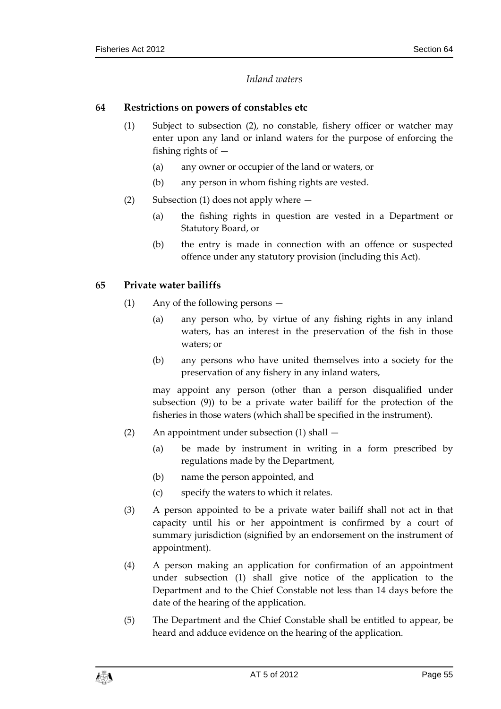# *Inland waters*

### <span id="page-54-1"></span><span id="page-54-0"></span>**64 Restrictions on powers of constables etc**

- (1) Subject to subsection (2), no constable, fishery officer or watcher may enter upon any land or inland waters for the purpose of enforcing the fishing rights of —
	- (a) any owner or occupier of the land or waters, or
	- (b) any person in whom fishing rights are vested.
- (2) Subsection (1) does not apply where
	- (a) the fishing rights in question are vested in a Department or Statutory Board, or
	- (b) the entry is made in connection with an offence or suspected offence under any statutory provision (including this Act).

# <span id="page-54-2"></span>**65 Private water bailiffs**

- (1) Any of the following persons
	- (a) any person who, by virtue of any fishing rights in any inland waters, has an interest in the preservation of the fish in those waters; or
	- (b) any persons who have united themselves into a society for the preservation of any fishery in any inland waters,

may appoint any person (other than a person disqualified under subsection (9)) to be a private water bailiff for the protection of the fisheries in those waters (which shall be specified in the instrument).

- (2) An appointment under subsection (1) shall
	- (a) be made by instrument in writing in a form prescribed by regulations made by the Department,
	- (b) name the person appointed, and
	- (c) specify the waters to which it relates.
- (3) A person appointed to be a private water bailiff shall not act in that capacity until his or her appointment is confirmed by a court of summary jurisdiction (signified by an endorsement on the instrument of appointment).
- (4) A person making an application for confirmation of an appointment under subsection (1) shall give notice of the application to the Department and to the Chief Constable not less than 14 days before the date of the hearing of the application.
- (5) The Department and the Chief Constable shall be entitled to appear, be heard and adduce evidence on the hearing of the application.

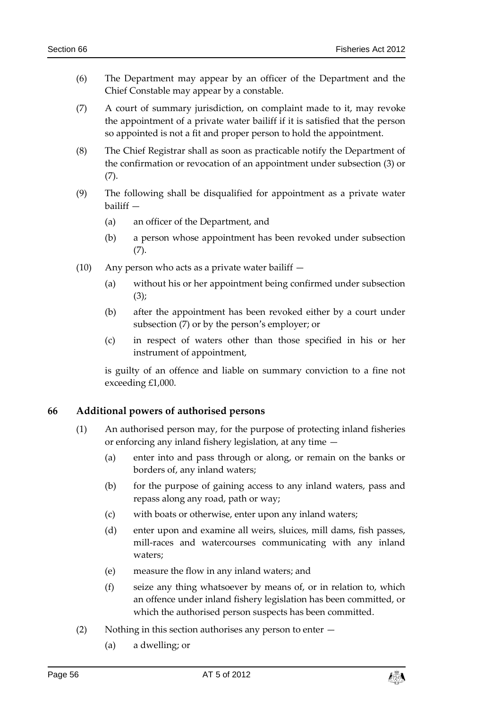- (6) The Department may appear by an officer of the Department and the Chief Constable may appear by a constable.
- (7) A court of summary jurisdiction, on complaint made to it, may revoke the appointment of a private water bailiff if it is satisfied that the person so appointed is not a fit and proper person to hold the appointment.
- (8) The Chief Registrar shall as soon as practicable notify the Department of the confirmation or revocation of an appointment under subsection (3) or (7).
- (9) The following shall be disqualified for appointment as a private water bailiff —
	- (a) an officer of the Department, and
	- (b) a person whose appointment has been revoked under subsection (7).
- (10) Any person who acts as a private water bailiff  $-$ 
	- (a) without his or her appointment being confirmed under subsection (3);
	- (b) after the appointment has been revoked either by a court under subsection (7) or by the person's employer; or
	- (c) in respect of waters other than those specified in his or her instrument of appointment,

is guilty of an offence and liable on summary conviction to a fine not exceeding £1,000.

# <span id="page-55-0"></span>**66 Additional powers of authorised persons**

- (1) An authorised person may, for the purpose of protecting inland fisheries or enforcing any inland fishery legislation, at any time —
	- (a) enter into and pass through or along, or remain on the banks or borders of, any inland waters;
	- (b) for the purpose of gaining access to any inland waters, pass and repass along any road, path or way;
	- (c) with boats or otherwise, enter upon any inland waters;
	- (d) enter upon and examine all weirs, sluices, mill dams, fish passes, mill-races and watercourses communicating with any inland waters;
	- (e) measure the flow in any inland waters; and
	- (f) seize any thing whatsoever by means of, or in relation to, which an offence under inland fishery legislation has been committed, or which the authorised person suspects has been committed.
- (2) Nothing in this section authorises any person to enter
	- (a) a dwelling; or

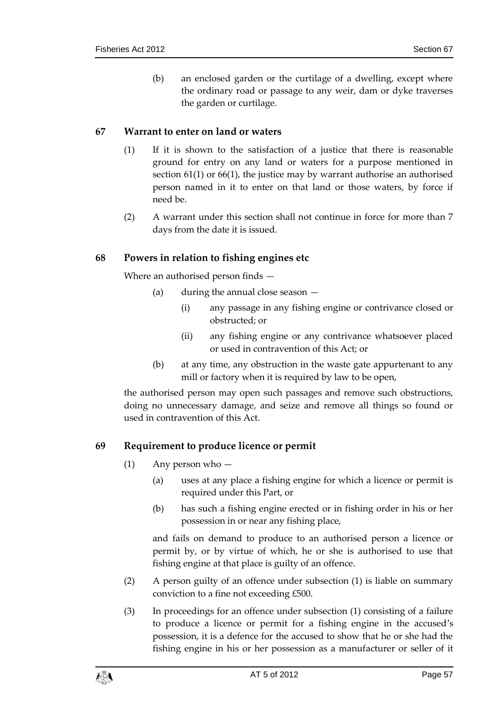(b) an enclosed garden or the curtilage of a dwelling, except where the ordinary road or passage to any weir, dam or dyke traverses the garden or curtilage.

### <span id="page-56-0"></span>**67 Warrant to enter on land or waters**

- (1) If it is shown to the satisfaction of a justice that there is reasonable ground for entry on any land or waters for a purpose mentioned in section 61(1) or 66(1), the justice may by warrant authorise an authorised person named in it to enter on that land or those waters, by force if need be.
- (2) A warrant under this section shall not continue in force for more than 7 days from the date it is issued.

#### <span id="page-56-1"></span>**68 Powers in relation to fishing engines etc**

Where an authorised person finds —

- (a) during the annual close season
	- (i) any passage in any fishing engine or contrivance closed or obstructed; or
	- (ii) any fishing engine or any contrivance whatsoever placed or used in contravention of this Act; or
- (b) at any time, any obstruction in the waste gate appurtenant to any mill or factory when it is required by law to be open,

the authorised person may open such passages and remove such obstructions, doing no unnecessary damage, and seize and remove all things so found or used in contravention of this Act.

# <span id="page-56-2"></span>**69 Requirement to produce licence or permit**

- (1) Any person who
	- (a) uses at any place a fishing engine for which a licence or permit is required under this Part, or
	- (b) has such a fishing engine erected or in fishing order in his or her possession in or near any fishing place,

and fails on demand to produce to an authorised person a licence or permit by, or by virtue of which, he or she is authorised to use that fishing engine at that place is guilty of an offence.

- (2) A person guilty of an offence under subsection (1) is liable on summary conviction to a fine not exceeding £500.
- (3) In proceedings for an offence under subsection (1) consisting of a failure to produce a licence or permit for a fishing engine in the accused's possession, it is a defence for the accused to show that he or she had the fishing engine in his or her possession as a manufacturer or seller of it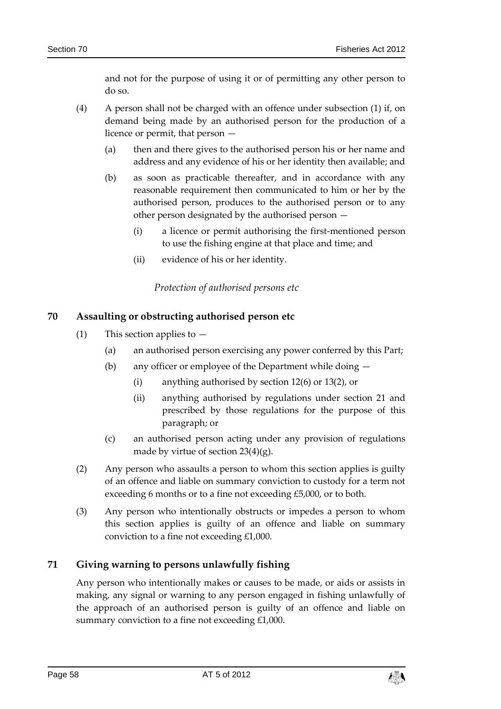and not for the purpose of using it or of permitting any other person to do so.

- (4) A person shall not be charged with an offence under subsection (1) if, on demand being made by an authorised person for the production of a licence or permit, that person —
	- (a) then and there gives to the authorised person his or her name and address and any evidence of his or her identity then available; and
	- (b) as soon as practicable thereafter, and in accordance with any reasonable requirement then communicated to him or her by the authorised person, produces to the authorised person or to any other person designated by the authorised person —
		- (i) a licence or permit authorising the first-mentioned person to use the fishing engine at that place and time; and
		- (ii) evidence of his or her identity.

*Protection of authorised persons etc*

# <span id="page-57-1"></span><span id="page-57-0"></span>**70 Assaulting or obstructing authorised person etc**

- (1) This section applies to  $-$ 
	- (a) an authorised person exercising any power conferred by this Part;
	- (b) any officer or employee of the Department while doing
		- (i) anything authorised by section 12(6) or 13(2), or
		- (ii) anything authorised by regulations under section 21 and prescribed by those regulations for the purpose of this paragraph; or
	- (c) an authorised person acting under any provision of regulations made by virtue of section  $23(4)(g)$ .
- (2) Any person who assaults a person to whom this section applies is guilty of an offence and liable on summary conviction to custody for a term not exceeding 6 months or to a fine not exceeding £5,000, or to both.
- (3) Any person who intentionally obstructs or impedes a person to whom this section applies is guilty of an offence and liable on summary conviction to a fine not exceeding £1,000.

# <span id="page-57-2"></span>**71 Giving warning to persons unlawfully fishing**

Any person who intentionally makes or causes to be made, or aids or assists in making, any signal or warning to any person engaged in fishing unlawfully of the approach of an authorised person is guilty of an offence and liable on summary conviction to a fine not exceeding £1,000.

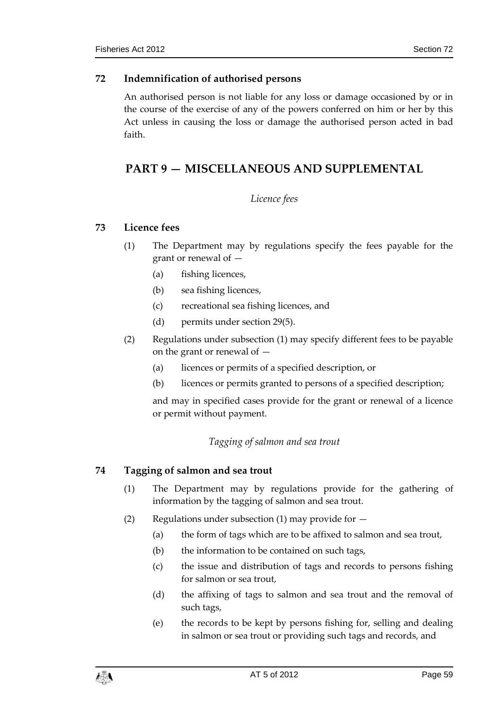# <span id="page-58-0"></span>**72 Indemnification of authorised persons**

An authorised person is not liable for any loss or damage occasioned by or in the course of the exercise of any of the powers conferred on him or her by this Act unless in causing the loss or damage the authorised person acted in bad faith.

# <span id="page-58-2"></span><span id="page-58-1"></span>**PART 9 — MISCELLANEOUS AND SUPPLEMENTAL**

# *Licence fees*

# <span id="page-58-3"></span>**73 Licence fees**

- (1) The Department may by regulations specify the fees payable for the grant or renewal of —
	- (a) fishing licences,
	- (b) sea fishing licences,
	- (c) recreational sea fishing licences, and
	- (d) permits under section 29(5).
- (2) Regulations under subsection (1) may specify different fees to be payable on the grant or renewal of —
	- (a) licences or permits of a specified description, or
	- (b) licences or permits granted to persons of a specified description;

and may in specified cases provide for the grant or renewal of a licence or permit without payment.

# *Tagging of salmon and sea trout*

# <span id="page-58-5"></span><span id="page-58-4"></span>**74 Tagging of salmon and sea trout**

- (1) The Department may by regulations provide for the gathering of information by the tagging of salmon and sea trout.
- (2) Regulations under subsection (1) may provide for  $-$ 
	- (a) the form of tags which are to be affixed to salmon and sea trout,
	- (b) the information to be contained on such tags,
	- (c) the issue and distribution of tags and records to persons fishing for salmon or sea trout,
	- (d) the affixing of tags to salmon and sea trout and the removal of such tags,
	- (e) the records to be kept by persons fishing for, selling and dealing in salmon or sea trout or providing such tags and records, and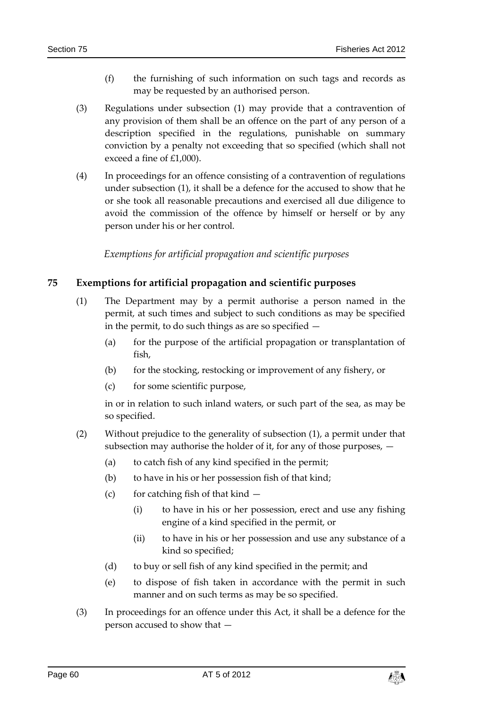- (f) the furnishing of such information on such tags and records as may be requested by an authorised person.
- (3) Regulations under subsection (1) may provide that a contravention of any provision of them shall be an offence on the part of any person of a description specified in the regulations, punishable on summary conviction by a penalty not exceeding that so specified (which shall not exceed a fine of £1,000).
- (4) In proceedings for an offence consisting of a contravention of regulations under subsection (1), it shall be a defence for the accused to show that he or she took all reasonable precautions and exercised all due diligence to avoid the commission of the offence by himself or herself or by any person under his or her control.

*Exemptions for artificial propagation and scientific purposes*

# <span id="page-59-1"></span><span id="page-59-0"></span>**75 Exemptions for artificial propagation and scientific purposes**

- (1) The Department may by a permit authorise a person named in the permit, at such times and subject to such conditions as may be specified in the permit, to do such things as are so specified —
	- (a) for the purpose of the artificial propagation or transplantation of fish,
	- (b) for the stocking, restocking or improvement of any fishery, or
	- (c) for some scientific purpose,

in or in relation to such inland waters, or such part of the sea, as may be so specified.

- (2) Without prejudice to the generality of subsection (1), a permit under that subsection may authorise the holder of it, for any of those purposes, —
	- (a) to catch fish of any kind specified in the permit;
	- (b) to have in his or her possession fish of that kind;
	- (c) for catching fish of that kind  $-$ 
		- (i) to have in his or her possession, erect and use any fishing engine of a kind specified in the permit, or
		- (ii) to have in his or her possession and use any substance of a kind so specified;
	- (d) to buy or sell fish of any kind specified in the permit; and
	- (e) to dispose of fish taken in accordance with the permit in such manner and on such terms as may be so specified.
- (3) In proceedings for an offence under this Act, it shall be a defence for the person accused to show that —

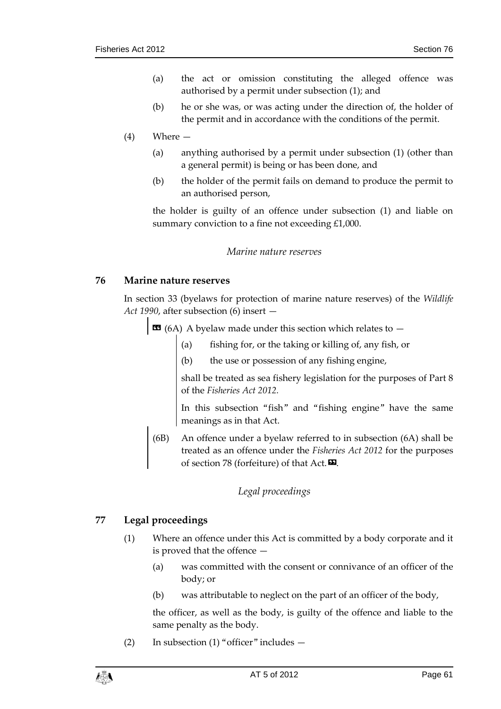- (a) the act or omission constituting the alleged offence was authorised by a permit under subsection (1); and
- (b) he or she was, or was acting under the direction of, the holder of the permit and in accordance with the conditions of the permit.

# (4) Where —

- (a) anything authorised by a permit under subsection (1) (other than a general permit) is being or has been done, and
- (b) the holder of the permit fails on demand to produce the permit to an authorised person,

the holder is guilty of an offence under subsection (1) and liable on summary conviction to a fine not exceeding £1,000.

#### *Marine nature reserves*

#### <span id="page-60-1"></span><span id="page-60-0"></span>**76 Marine nature reserves**

In section 33 (byelaws for protection of marine nature reserves) of the *Wildlife Act 1990*, after subsection (6) insert —

 $\text{13}$  (6A) A byelaw made under this section which relates to  $-$ 

- (a) fishing for, or the taking or killing of, any fish, or
- (b) the use or possession of any fishing engine,

shall be treated as sea fishery legislation for the purposes of Part 8 of the *Fisheries Act 2012.*

In this subsection "fish" and "fishing engine" have the same meanings as in that Act.

(6B) An offence under a byelaw referred to in subsection (6A) shall be treated as an offence under the *Fisheries Act 2012* for the purposes of section 78 (forfeiture) of that Act. $\mathbf{E}$ .

# *Legal proceedings*

# <span id="page-60-3"></span><span id="page-60-2"></span>**77 Legal proceedings**

- (1) Where an offence under this Act is committed by a body corporate and it is proved that the offence —
	- (a) was committed with the consent or connivance of an officer of the body; or
	- (b) was attributable to neglect on the part of an officer of the body,

the officer, as well as the body, is guilty of the offence and liable to the same penalty as the body.

(2) In subsection (1) "officer" includes —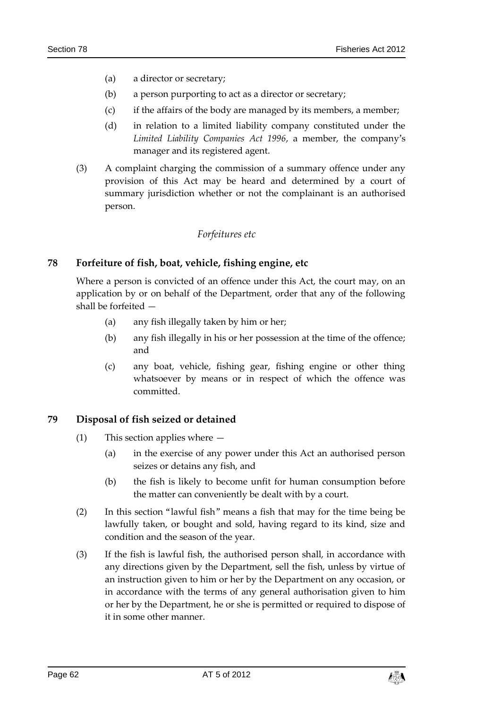- (a) a director or secretary;
- (b) a person purporting to act as a director or secretary;
- (c) if the affairs of the body are managed by its members, a member;
- (d) in relation to a limited liability company constituted under the *Limited Liability Companies Act 1996*, a member, the company's manager and its registered agent.
- (3) A complaint charging the commission of a summary offence under any provision of this Act may be heard and determined by a court of summary jurisdiction whether or not the complainant is an authorised person.

#### *Forfeitures etc*

# <span id="page-61-1"></span><span id="page-61-0"></span>**78 Forfeiture of fish, boat, vehicle, fishing engine, etc**

Where a person is convicted of an offence under this Act, the court may, on an application by or on behalf of the Department, order that any of the following shall be forfeited —

- (a) any fish illegally taken by him or her;
- (b) any fish illegally in his or her possession at the time of the offence; and
- (c) any boat, vehicle, fishing gear, fishing engine or other thing whatsoever by means or in respect of which the offence was committed.

# <span id="page-61-2"></span>**79 Disposal of fish seized or detained**

- (1) This section applies where
	- (a) in the exercise of any power under this Act an authorised person seizes or detains any fish, and
	- (b) the fish is likely to become unfit for human consumption before the matter can conveniently be dealt with by a court.
- (2) In this section "lawful fish" means a fish that may for the time being be lawfully taken, or bought and sold, having regard to its kind, size and condition and the season of the year.
- (3) If the fish is lawful fish, the authorised person shall, in accordance with any directions given by the Department, sell the fish, unless by virtue of an instruction given to him or her by the Department on any occasion, or in accordance with the terms of any general authorisation given to him or her by the Department, he or she is permitted or required to dispose of it in some other manner.

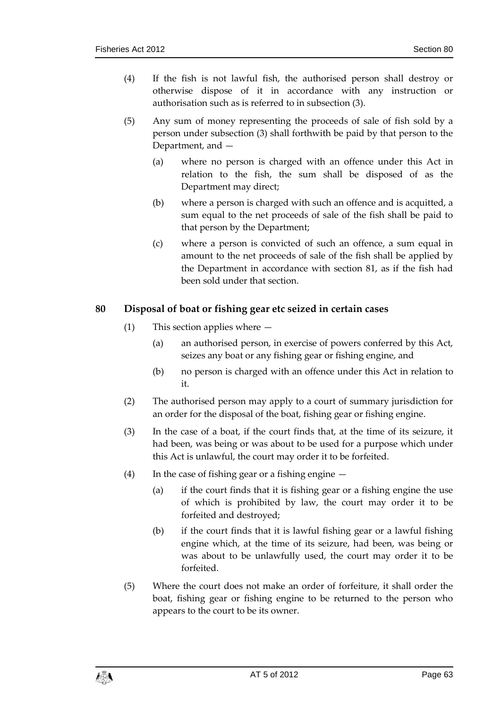- (4) If the fish is not lawful fish, the authorised person shall destroy or otherwise dispose of it in accordance with any instruction or authorisation such as is referred to in subsection (3).
- (5) Any sum of money representing the proceeds of sale of fish sold by a person under subsection (3) shall forthwith be paid by that person to the Department, and —
	- (a) where no person is charged with an offence under this Act in relation to the fish, the sum shall be disposed of as the Department may direct;
	- (b) where a person is charged with such an offence and is acquitted, a sum equal to the net proceeds of sale of the fish shall be paid to that person by the Department;
	- (c) where a person is convicted of such an offence, a sum equal in amount to the net proceeds of sale of the fish shall be applied by the Department in accordance with section 81, as if the fish had been sold under that section.

# <span id="page-62-0"></span>**80 Disposal of boat or fishing gear etc seized in certain cases**

- (1) This section applies where
	- (a) an authorised person, in exercise of powers conferred by this Act, seizes any boat or any fishing gear or fishing engine, and
	- (b) no person is charged with an offence under this Act in relation to it.
- (2) The authorised person may apply to a court of summary jurisdiction for an order for the disposal of the boat, fishing gear or fishing engine.
- (3) In the case of a boat, if the court finds that, at the time of its seizure, it had been, was being or was about to be used for a purpose which under this Act is unlawful, the court may order it to be forfeited.
- (4) In the case of fishing gear or a fishing engine  $-$ 
	- (a) if the court finds that it is fishing gear or a fishing engine the use of which is prohibited by law, the court may order it to be forfeited and destroyed;
	- (b) if the court finds that it is lawful fishing gear or a lawful fishing engine which, at the time of its seizure, had been, was being or was about to be unlawfully used, the court may order it to be forfeited.
- (5) Where the court does not make an order of forfeiture, it shall order the boat, fishing gear or fishing engine to be returned to the person who appears to the court to be its owner.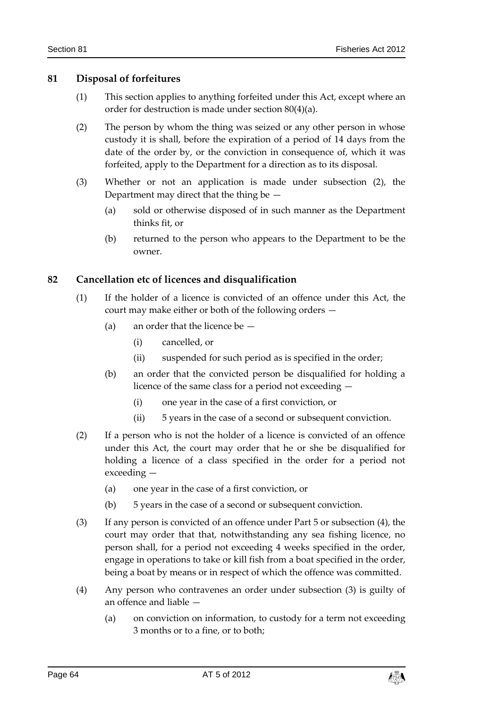# <span id="page-63-0"></span>**81 Disposal of forfeitures**

- (1) This section applies to anything forfeited under this Act, except where an order for destruction is made under section 80(4)(a).
- (2) The person by whom the thing was seized or any other person in whose custody it is shall, before the expiration of a period of 14 days from the date of the order by, or the conviction in consequence of, which it was forfeited, apply to the Department for a direction as to its disposal.
- (3) Whether or not an application is made under subsection (2), the Department may direct that the thing be —
	- (a) sold or otherwise disposed of in such manner as the Department thinks fit, or
	- (b) returned to the person who appears to the Department to be the owner.

# <span id="page-63-1"></span>**82 Cancellation etc of licences and disqualification**

- (1) If the holder of a licence is convicted of an offence under this Act, the court may make either or both of the following orders —
	- (a) an order that the licence be
		- (i) cancelled, or
		- (ii) suspended for such period as is specified in the order;
	- (b) an order that the convicted person be disqualified for holding a licence of the same class for a period not exceeding —
		- (i) one year in the case of a first conviction, or
		- (ii) 5 years in the case of a second or subsequent conviction.
- (2) If a person who is not the holder of a licence is convicted of an offence under this Act, the court may order that he or she be disqualified for holding a licence of a class specified in the order for a period not exceeding —
	- (a) one year in the case of a first conviction, or
	- (b) 5 years in the case of a second or subsequent conviction.
- (3) If any person is convicted of an offence under Part 5 or subsection (4), the court may order that that, notwithstanding any sea fishing licence, no person shall, for a period not exceeding 4 weeks specified in the order, engage in operations to take or kill fish from a boat specified in the order, being a boat by means or in respect of which the offence was committed.
- (4) Any person who contravenes an order under subsection (3) is guilty of an offence and liable —
	- (a) on conviction on information, to custody for a term not exceeding 3 months or to a fine, or to both;

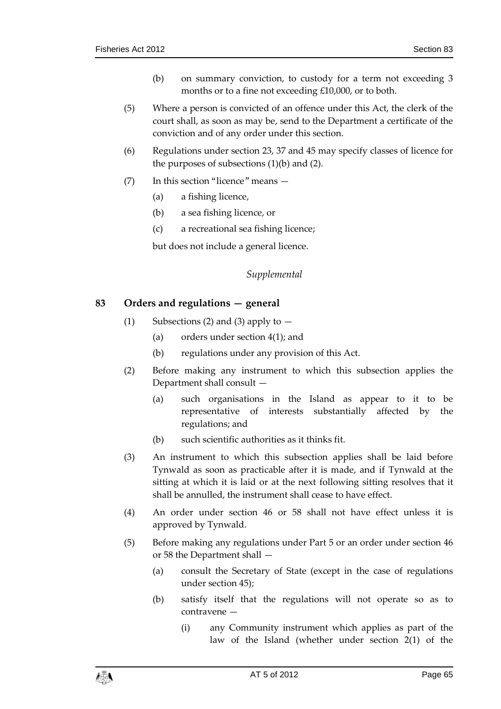- (b) on summary conviction, to custody for a term not exceeding 3 months or to a fine not exceeding £10,000, or to both.
- (5) Where a person is convicted of an offence under this Act, the clerk of the court shall, as soon as may be, send to the Department a certificate of the conviction and of any order under this section.
- (6) Regulations under section 23, 37 and 45 may specify classes of licence for the purposes of subsections  $(1)(b)$  and  $(2)$ .
- (7) In this section "licence" means
	- (a) a fishing licence,
	- (b) a sea fishing licence, or
	- (c) a recreational sea fishing licence;

but does not include a general licence.

# *Supplemental*

# <span id="page-64-1"></span><span id="page-64-0"></span>**83 Orders and regulations — general**

- (1) Subsections (2) and (3) apply to  $-$ 
	- (a) orders under section 4(1); and
	- (b) regulations under any provision of this Act.
- (2) Before making any instrument to which this subsection applies the Department shall consult —
	- (a) such organisations in the Island as appear to it to be representative of interests substantially affected by the regulations; and
	- (b) such scientific authorities as it thinks fit.
- (3) An instrument to which this subsection applies shall be laid before Tynwald as soon as practicable after it is made, and if Tynwald at the sitting at which it is laid or at the next following sitting resolves that it shall be annulled, the instrument shall cease to have effect.
- (4) An order under section 46 or 58 shall not have effect unless it is approved by Tynwald.
- (5) Before making any regulations under Part 5 or an order under section 46 or 58 the Department shall —
	- (a) consult the Secretary of State (except in the case of regulations under section 45);
	- (b) satisfy itself that the regulations will not operate so as to contravene —
		- (i) any Community instrument which applies as part of the law of the Island (whether under section 2(1) of the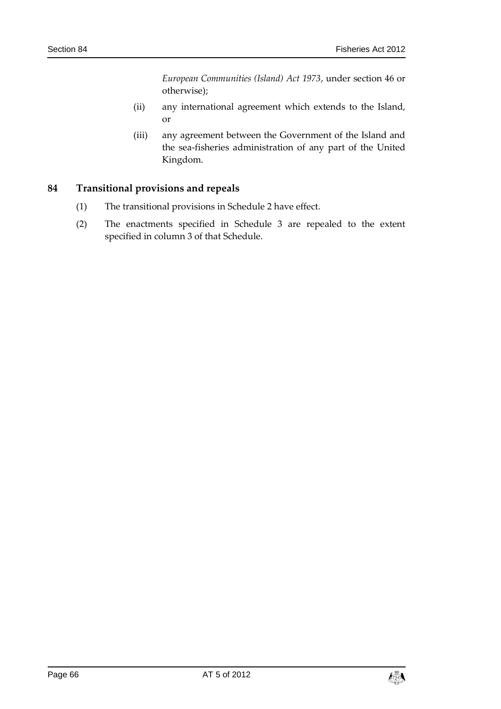*European Communities (Island) Act 1973*, under section 46 or otherwise);

- (ii) any international agreement which extends to the Island, or
- (iii) any agreement between the Government of the Island and the sea-fisheries administration of any part of the United Kingdom.

# <span id="page-65-0"></span>**84 Transitional provisions and repeals**

- (1) The transitional provisions in Schedule 2 have effect.
- (2) The enactments specified in Schedule 3 are repealed to the extent specified in column 3 of that Schedule.

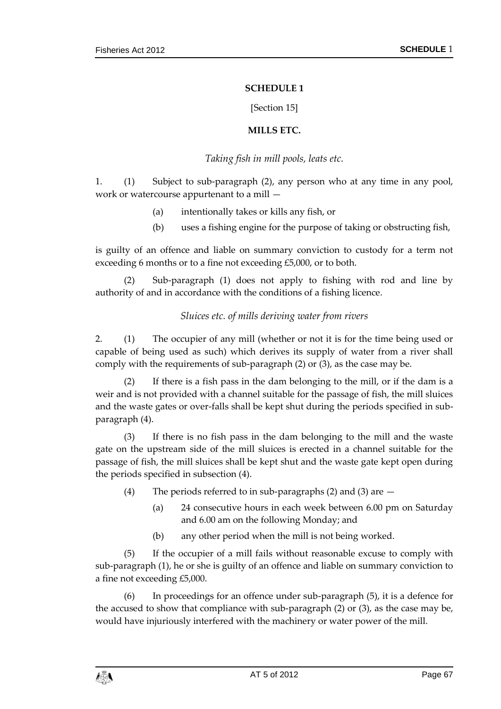#### **SCHEDULE 1**

[Section 15]

#### **MILLS ETC.**

### *Taking fish in mill pools, leats etc.*

<span id="page-66-2"></span><span id="page-66-1"></span><span id="page-66-0"></span>1. (1) Subject to sub-paragraph (2), any person who at any time in any pool, work or watercourse appurtenant to a mill —

- (a) intentionally takes or kills any fish, or
- (b) uses a fishing engine for the purpose of taking or obstructing fish,

is guilty of an offence and liable on summary conviction to custody for a term not exceeding 6 months or to a fine not exceeding £5,000, or to both.

Sub-paragraph (1) does not apply to fishing with rod and line by authority of and in accordance with the conditions of a fishing licence.

# *Sluices etc. of mills deriving water from rivers*

2. (1) The occupier of any mill (whether or not it is for the time being used or capable of being used as such) which derives its supply of water from a river shall comply with the requirements of sub-paragraph (2) or (3), as the case may be.

(2) If there is a fish pass in the dam belonging to the mill, or if the dam is a weir and is not provided with a channel suitable for the passage of fish, the mill sluices and the waste gates or over-falls shall be kept shut during the periods specified in subparagraph (4).

(3) If there is no fish pass in the dam belonging to the mill and the waste gate on the upstream side of the mill sluices is erected in a channel suitable for the passage of fish, the mill sluices shall be kept shut and the waste gate kept open during the periods specified in subsection (4).

- (4) The periods referred to in sub-paragraphs (2) and (3) are  $-$ 
	- (a) 24 consecutive hours in each week between 6.00 pm on Saturday and 6.00 am on the following Monday; and
	- (b) any other period when the mill is not being worked.

(5) If the occupier of a mill fails without reasonable excuse to comply with sub-paragraph (1), he or she is guilty of an offence and liable on summary conviction to a fine not exceeding £5,000.

(6) In proceedings for an offence under sub-paragraph (5), it is a defence for the accused to show that compliance with sub-paragraph (2) or (3), as the case may be, would have injuriously interfered with the machinery or water power of the mill.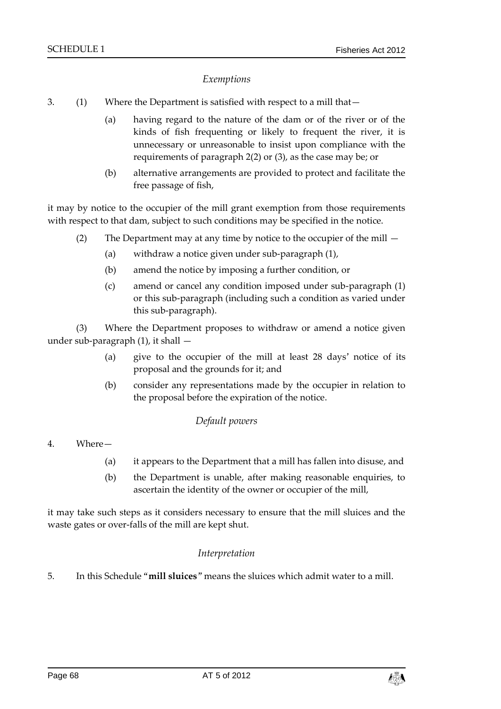# *Exemptions*

- 3. (1) Where the Department is satisfied with respect to a mill that—
	- (a) having regard to the nature of the dam or of the river or of the kinds of fish frequenting or likely to frequent the river, it is unnecessary or unreasonable to insist upon compliance with the requirements of paragraph 2(2) or (3), as the case may be; or
	- (b) alternative arrangements are provided to protect and facilitate the free passage of fish,

it may by notice to the occupier of the mill grant exemption from those requirements with respect to that dam, subject to such conditions may be specified in the notice.

- (2) The Department may at any time by notice to the occupier of the mill
	- (a) withdraw a notice given under sub-paragraph (1),
	- (b) amend the notice by imposing a further condition, or
	- (c) amend or cancel any condition imposed under sub-paragraph (1) or this sub-paragraph (including such a condition as varied under this sub-paragraph).

(3) Where the Department proposes to withdraw or amend a notice given under sub-paragraph (1), it shall —

- (a) give to the occupier of the mill at least 28 days' notice of its proposal and the grounds for it; and
- (b) consider any representations made by the occupier in relation to the proposal before the expiration of the notice.

#### *Default powers*

- 4. Where—
	- (a) it appears to the Department that a mill has fallen into disuse, and
	- (b) the Department is unable, after making reasonable enquiries, to ascertain the identity of the owner or occupier of the mill,

<span id="page-67-0"></span>it may take such steps as it considers necessary to ensure that the mill sluices and the waste gates or over-falls of the mill are kept shut.

#### *Interpretation*

5. In this Schedule "**mill sluices**" means the sluices which admit water to a mill.

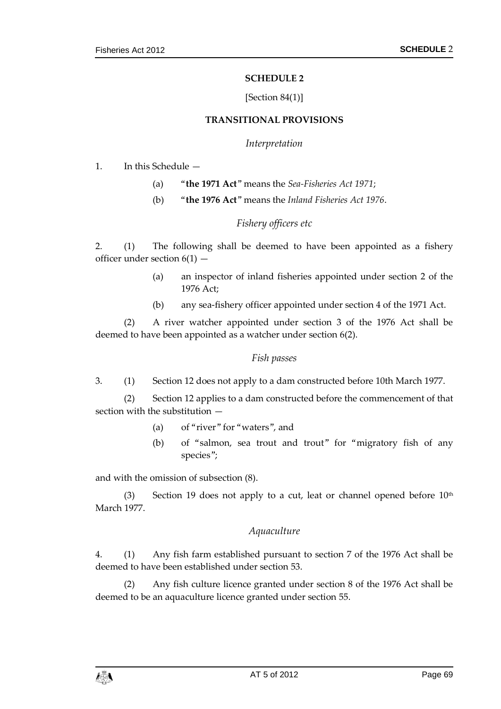#### **SCHEDULE 2**

#### [Section 84(1)]

#### **TRANSITIONAL PROVISIONS**

#### *Interpretation*

<span id="page-68-1"></span><span id="page-68-0"></span>1. In this Schedule —

- (a) "**the 1971 Act**" means the *Sea-Fisheries Act 1971*;
- (b) "**the 1976 Act**" means the *Inland Fisheries Act 1976*.

#### *Fishery officers etc*

2. (1) The following shall be deemed to have been appointed as a fishery officer under section  $6(1)$  –

- (a) an inspector of inland fisheries appointed under section 2 of the 1976 Act;
- (b) any sea-fishery officer appointed under section 4 of the 1971 Act.

(2) A river watcher appointed under section 3 of the 1976 Act shall be deemed to have been appointed as a watcher under section 6(2).

#### *Fish passes*

3. (1) Section 12 does not apply to a dam constructed before 10th March 1977.

(2) Section 12 applies to a dam constructed before the commencement of that section with the substitution —

- (a) of "river" for "waters", and
- (b) of "salmon, sea trout and trout" for "migratory fish of any species";

and with the omission of subsection (8).

(3) Section 19 does not apply to a cut, leat or channel opened before  $10<sup>th</sup>$ March 1977.

#### *Aquaculture*

4. (1) Any fish farm established pursuant to section 7 of the 1976 Act shall be deemed to have been established under section 53.

(2) Any fish culture licence granted under section 8 of the 1976 Act shall be deemed to be an aquaculture licence granted under section 55.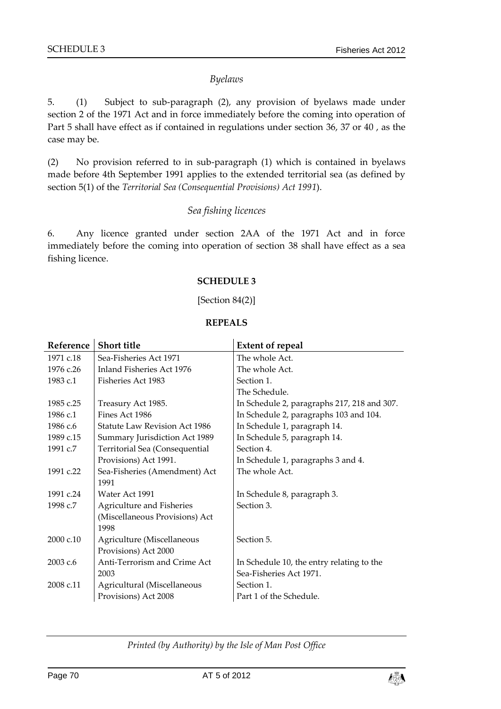#### *Byelaws*

5. (1) Subject to sub-paragraph (2), any provision of byelaws made under section 2 of the 1971 Act and in force immediately before the coming into operation of Part 5 shall have effect as if contained in regulations under section 36, 37 or 40 , as the case may be.

(2) No provision referred to in sub-paragraph (1) which is contained in byelaws made before 4th September 1991 applies to the extended territorial sea (as defined by section 5(1) of the *Territorial Sea (Consequential Provisions) Act 1991*).

#### *Sea fishing licences*

<span id="page-69-0"></span>6. Any licence granted under section 2AA of the 1971 Act and in force immediately before the coming into operation of section 38 shall have effect as a sea fishing licence.

#### **SCHEDULE 3**

#### [Section 84(2)]

#### **REPEALS**

<span id="page-69-1"></span>

| Reference | <b>Short title</b>                   | <b>Extent of repeal</b>                     |
|-----------|--------------------------------------|---------------------------------------------|
| 1971 c.18 | Sea-Fisheries Act 1971               | The whole Act.                              |
| 1976 c.26 | Inland Fisheries Act 1976            | The whole Act.                              |
| 1983 c.1  | Fisheries Act 1983                   | Section 1.                                  |
|           |                                      | The Schedule.                               |
| 1985 c.25 | Treasury Act 1985.                   | In Schedule 2, paragraphs 217, 218 and 307. |
| 1986 c.1  | Fines Act 1986                       | In Schedule 2, paragraphs 103 and 104.      |
| 1986 c.6  | <b>Statute Law Revision Act 1986</b> | In Schedule 1, paragraph 14.                |
| 1989 c.15 | Summary Jurisdiction Act 1989        | In Schedule 5, paragraph 14.                |
| 1991 c.7  | Territorial Sea (Consequential       | Section 4.                                  |
|           | Provisions) Act 1991.                | In Schedule 1, paragraphs 3 and 4.          |
| 1991 c.22 | Sea-Fisheries (Amendment) Act        | The whole Act.                              |
|           | 1991                                 |                                             |
| 1991 c.24 | Water Act 1991                       | In Schedule 8, paragraph 3.                 |
| 1998 c.7  | Agriculture and Fisheries            | Section 3.                                  |
|           | (Miscellaneous Provisions) Act       |                                             |
|           | 1998                                 |                                             |
| 2000 c.10 | Agriculture (Miscellaneous           | Section 5.                                  |
|           | Provisions) Act 2000                 |                                             |
| 2003 c.6  | Anti-Terrorism and Crime Act         | In Schedule 10, the entry relating to the   |
|           | 2003                                 | Sea-Fisheries Act 1971.                     |
| 2008 c.11 | Agricultural (Miscellaneous          | Section 1.                                  |
|           | Provisions) Act 2008                 | Part 1 of the Schedule.                     |

#### *Printed (by Authority) by the Isle of Man Post Office*